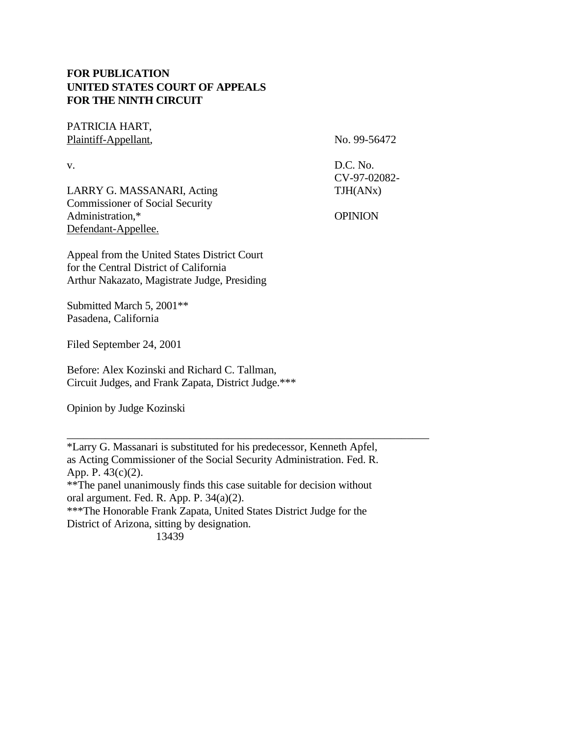# **FOR PUBLICATION UNITED STATES COURT OF APPEALS FOR THE NINTH CIRCUIT**

PATRICIA HART, Plaintiff-Appellant, No. 99-56472

| $V_{\rm A}$                            | D.C. No.       |
|----------------------------------------|----------------|
|                                        | CV-97-02082-   |
| LARRY G. MASSANARI, Acting             | TH(ANx)        |
| <b>Commissioner of Social Security</b> |                |
| Administration,*                       | <b>OPINION</b> |
| Defendant-Appellee.                    |                |

Appeal from the United States District Court for the Central District of California Arthur Nakazato, Magistrate Judge, Presiding

Submitted March 5, 2001\*\* Pasadena, California

Filed September 24, 2001

Before: Alex Kozinski and Richard C. Tallman, Circuit Judges, and Frank Zapata, District Judge.\*\*\*

Opinion by Judge Kozinski

\*Larry G. Massanari is substituted for his predecessor, Kenneth Apfel, as Acting Commissioner of the Social Security Administration. Fed. R. App. P. 43(c)(2). \*\*The panel unanimously finds this case suitable for decision without oral argument. Fed. R. App. P. 34(a)(2). \*\*\*The Honorable Frank Zapata, United States District Judge for the District of Arizona, sitting by designation.

\_\_\_\_\_\_\_\_\_\_\_\_\_\_\_\_\_\_\_\_\_\_\_\_\_\_\_\_\_\_\_\_\_\_\_\_\_\_\_\_\_\_\_\_\_\_\_\_\_\_\_\_\_\_\_\_\_\_\_\_\_\_\_\_\_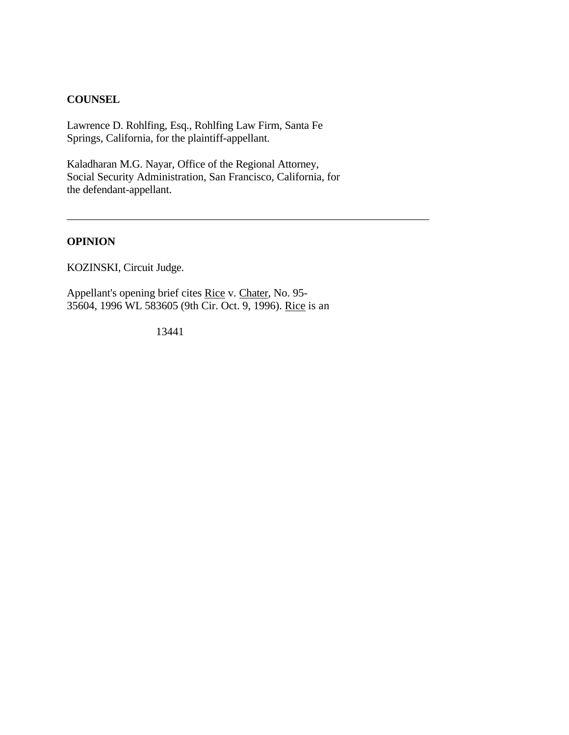# **COUNSEL**

Lawrence D. Rohlfing, Esq., Rohlfing Law Firm, Santa Fe Springs, California, for the plaintiff-appellant.

Kaladharan M.G. Nayar, Office of the Regional Attorney, Social Security Administration, San Francisco, California, for the defendant-appellant.

\_\_\_\_\_\_\_\_\_\_\_\_\_\_\_\_\_\_\_\_\_\_\_\_\_\_\_\_\_\_\_\_\_\_\_\_\_\_\_\_\_\_\_\_\_\_\_\_\_\_\_\_\_\_\_\_\_\_\_\_\_\_\_\_\_

## **OPINION**

KOZINSKI, Circuit Judge.

Appellant's opening brief cites Rice v. Chater, No. 95- 35604, 1996 WL 583605 (9th Cir. Oct. 9, 1996). Rice is an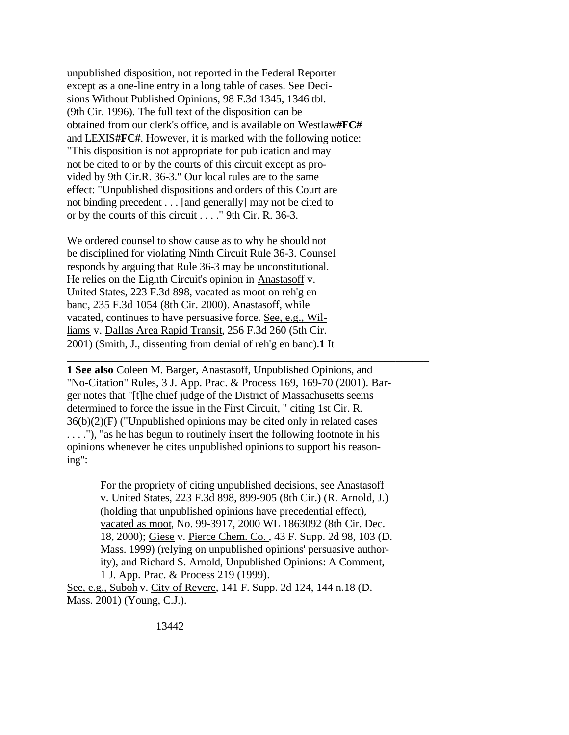unpublished disposition, not reported in the Federal Reporter except as a one-line entry in a long table of cases. See Decisions Without Published Opinions, 98 F.3d 1345, 1346 tbl. (9th Cir. 1996). The full text of the disposition can be obtained from our clerk's office, and is available on Westlaw**#FC#** and LEXIS**#FC#**. However, it is marked with the following notice: "This disposition is not appropriate for publication and may not be cited to or by the courts of this circuit except as provided by 9th Cir.R. 36-3." Our local rules are to the same effect: "Unpublished dispositions and orders of this Court are not binding precedent . . . [and generally] may not be cited to or by the courts of this circuit . . . ." 9th Cir. R. 36-3.

We ordered counsel to show cause as to why he should not be disciplined for violating Ninth Circuit Rule 36-3. Counsel responds by arguing that Rule 36-3 may be unconstitutional. He relies on the Eighth Circuit's opinion in Anastasoff v. United States, 223 F.3d 898, vacated as moot on reh'g en banc, 235 F.3d 1054 (8th Cir. 2000). Anastasoff, while vacated, continues to have persuasive force. See, e.g., Williams v. Dallas Area Rapid Transit, 256 F.3d 260 (5th Cir. 2001) (Smith, J., dissenting from denial of reh'g en banc).**1** It

**1 See also** Coleen M. Barger, Anastasoff, Unpublished Opinions, and "No-Citation" Rules, 3 J. App. Prac. & Process 169, 169-70 (2001). Barger notes that "[t]he chief judge of the District of Massachusetts seems determined to force the issue in the First Circuit, " citing 1st Cir. R. 36(b)(2)(F) ("Unpublished opinions may be cited only in related cases . . . ."), "as he has begun to routinely insert the following footnote in his opinions whenever he cites unpublished opinions to support his reasoning":

\_\_\_\_\_\_\_\_\_\_\_\_\_\_\_\_\_\_\_\_\_\_\_\_\_\_\_\_\_\_\_\_\_\_\_\_\_\_\_\_\_\_\_\_\_\_\_\_\_\_\_\_\_\_\_\_\_\_\_\_\_\_\_\_\_

For the propriety of citing unpublished decisions, see Anastasoff v. United States, 223 F.3d 898, 899-905 (8th Cir.) (R. Arnold, J.) (holding that unpublished opinions have precedential effect), vacated as moot, No. 99-3917, 2000 WL 1863092 (8th Cir. Dec. 18, 2000); Giese v. Pierce Chem. Co. , 43 F. Supp. 2d 98, 103 (D. Mass. 1999) (relying on unpublished opinions' persuasive authority), and Richard S. Arnold, Unpublished Opinions: A Comment, 1 J. App. Prac. & Process 219 (1999).

See, e.g., Suboh v. City of Revere, 141 F. Supp. 2d 124, 144 n.18 (D. Mass. 2001) (Young, C.J.).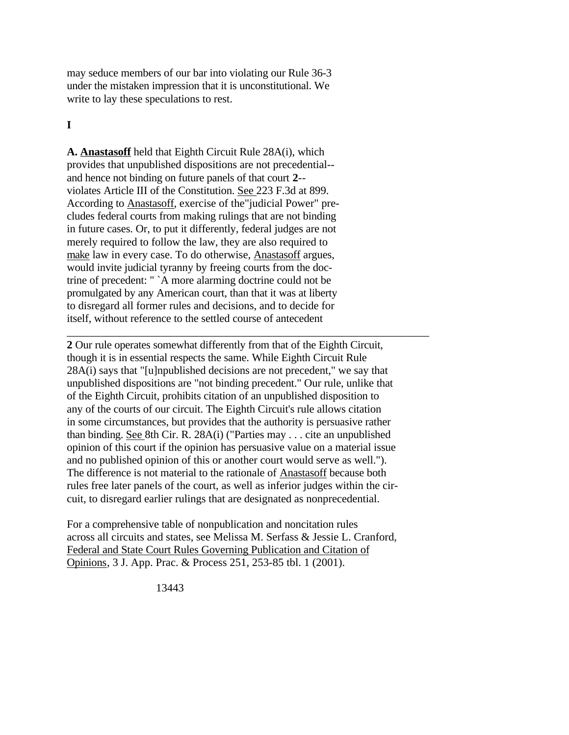may seduce members of our bar into violating our Rule 36-3 under the mistaken impression that it is unconstitutional. We write to lay these speculations to rest.

# **I**

**A. Anastasoff** held that Eighth Circuit Rule 28A(i), which provides that unpublished dispositions are not precedential- and hence not binding on future panels of that court **2**- violates Article III of the Constitution. See 223 F.3d at 899. According to Anastasoff, exercise of the"judicial Power" precludes federal courts from making rulings that are not binding in future cases. Or, to put it differently, federal judges are not merely required to follow the law, they are also required to make law in every case. To do otherwise, Anastasoff argues, would invite judicial tyranny by freeing courts from the doctrine of precedent: " `A more alarming doctrine could not be promulgated by any American court, than that it was at liberty to disregard all former rules and decisions, and to decide for itself, without reference to the settled course of antecedent

**2** Our rule operates somewhat differently from that of the Eighth Circuit, though it is in essential respects the same. While Eighth Circuit Rule 28A(i) says that "[u]npublished decisions are not precedent," we say that unpublished dispositions are "not binding precedent." Our rule, unlike that of the Eighth Circuit, prohibits citation of an unpublished disposition to any of the courts of our circuit. The Eighth Circuit's rule allows citation in some circumstances, but provides that the authority is persuasive rather than binding. See 8th Cir. R. 28A(i) ("Parties may . . . cite an unpublished opinion of this court if the opinion has persuasive value on a material issue and no published opinion of this or another court would serve as well."). The difference is not material to the rationale of Anastasoff because both rules free later panels of the court, as well as inferior judges within the circuit, to disregard earlier rulings that are designated as nonprecedential.

\_\_\_\_\_\_\_\_\_\_\_\_\_\_\_\_\_\_\_\_\_\_\_\_\_\_\_\_\_\_\_\_\_\_\_\_\_\_\_\_\_\_\_\_\_\_\_\_\_\_\_\_\_\_\_\_\_\_\_\_\_\_\_\_\_

For a comprehensive table of nonpublication and noncitation rules across all circuits and states, see Melissa M. Serfass & Jessie L. Cranford, Federal and State Court Rules Governing Publication and Citation of Opinions, 3 J. App. Prac. & Process 251, 253-85 tbl. 1 (2001).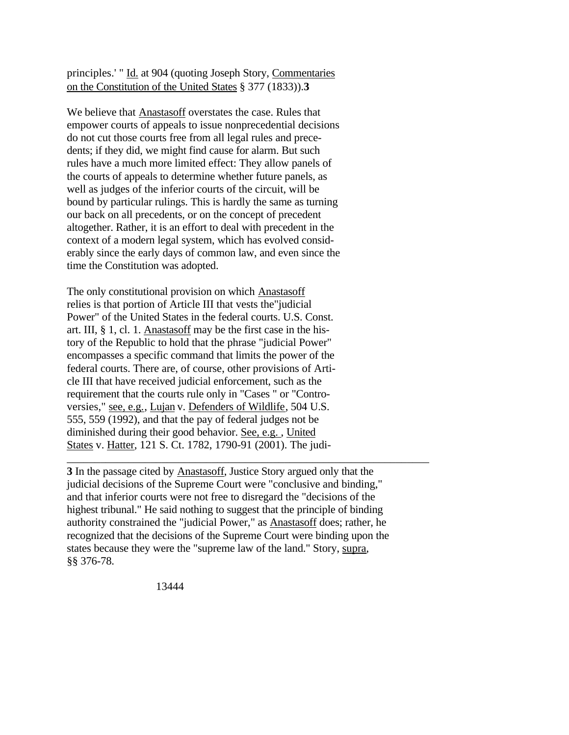principles.' " Id. at 904 (quoting Joseph Story, Commentaries on the Constitution of the United States § 377 (1833)).**3**

We believe that Anastasoff overstates the case. Rules that empower courts of appeals to issue nonprecedential decisions do not cut those courts free from all legal rules and precedents; if they did, we might find cause for alarm. But such rules have a much more limited effect: They allow panels of the courts of appeals to determine whether future panels, as well as judges of the inferior courts of the circuit, will be bound by particular rulings. This is hardly the same as turning our back on all precedents, or on the concept of precedent altogether. Rather, it is an effort to deal with precedent in the context of a modern legal system, which has evolved considerably since the early days of common law, and even since the time the Constitution was adopted.

The only constitutional provision on which Anastasoff relies is that portion of Article III that vests the"judicial Power" of the United States in the federal courts. U.S. Const. art. III, § 1, cl. 1. Anastasoff may be the first case in the history of the Republic to hold that the phrase "judicial Power" encompasses a specific command that limits the power of the federal courts. There are, of course, other provisions of Article III that have received judicial enforcement, such as the requirement that the courts rule only in "Cases " or "Controversies," see, e.g., Lujan v. Defenders of Wildlife, 504 U.S. 555, 559 (1992), and that the pay of federal judges not be diminished during their good behavior. See, e.g. , United States v. Hatter, 121 S. Ct. 1782, 1790-91 (2001). The judi-

**3** In the passage cited by Anastasoff, Justice Story argued only that the judicial decisions of the Supreme Court were "conclusive and binding," and that inferior courts were not free to disregard the "decisions of the highest tribunal." He said nothing to suggest that the principle of binding authority constrained the "judicial Power," as Anastasoff does; rather, he recognized that the decisions of the Supreme Court were binding upon the states because they were the "supreme law of the land." Story, supra, §§ 376-78.

\_\_\_\_\_\_\_\_\_\_\_\_\_\_\_\_\_\_\_\_\_\_\_\_\_\_\_\_\_\_\_\_\_\_\_\_\_\_\_\_\_\_\_\_\_\_\_\_\_\_\_\_\_\_\_\_\_\_\_\_\_\_\_\_\_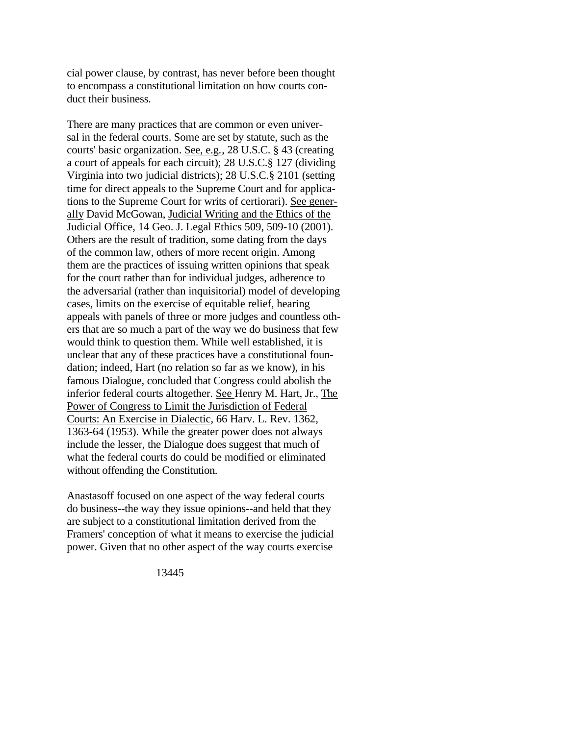cial power clause, by contrast, has never before been thought to encompass a constitutional limitation on how courts conduct their business.

There are many practices that are common or even universal in the federal courts. Some are set by statute, such as the courts' basic organization. See, e.g., 28 U.S.C. § 43 (creating a court of appeals for each circuit); 28 U.S.C.§ 127 (dividing Virginia into two judicial districts); 28 U.S.C.§ 2101 (setting time for direct appeals to the Supreme Court and for applications to the Supreme Court for writs of certiorari). See generally David McGowan, Judicial Writing and the Ethics of the Judicial Office, 14 Geo. J. Legal Ethics 509, 509-10 (2001). Others are the result of tradition, some dating from the days of the common law, others of more recent origin. Among them are the practices of issuing written opinions that speak for the court rather than for individual judges, adherence to the adversarial (rather than inquisitorial) model of developing cases, limits on the exercise of equitable relief, hearing appeals with panels of three or more judges and countless others that are so much a part of the way we do business that few would think to question them. While well established, it is unclear that any of these practices have a constitutional foundation; indeed, Hart (no relation so far as we know), in his famous Dialogue, concluded that Congress could abolish the inferior federal courts altogether. See Henry M. Hart, Jr., The Power of Congress to Limit the Jurisdiction of Federal Courts: An Exercise in Dialectic, 66 Harv. L. Rev. 1362, 1363-64 (1953). While the greater power does not always include the lesser, the Dialogue does suggest that much of what the federal courts do could be modified or eliminated without offending the Constitution.

Anastasoff focused on one aspect of the way federal courts do business--the way they issue opinions--and held that they are subject to a constitutional limitation derived from the Framers' conception of what it means to exercise the judicial power. Given that no other aspect of the way courts exercise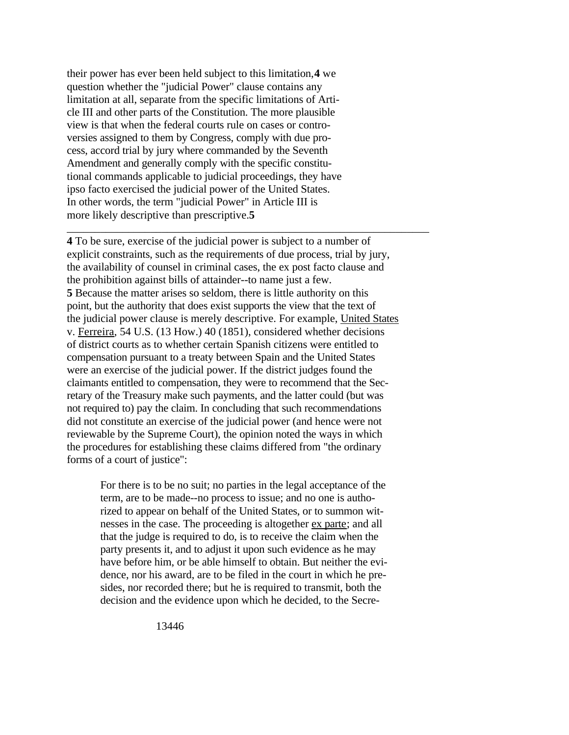their power has ever been held subject to this limitation,**4** we question whether the "judicial Power" clause contains any limitation at all, separate from the specific limitations of Article III and other parts of the Constitution. The more plausible view is that when the federal courts rule on cases or controversies assigned to them by Congress, comply with due process, accord trial by jury where commanded by the Seventh Amendment and generally comply with the specific constitutional commands applicable to judicial proceedings, they have ipso facto exercised the judicial power of the United States. In other words, the term "judicial Power" in Article III is more likely descriptive than prescriptive.**5**

**4** To be sure, exercise of the judicial power is subject to a number of explicit constraints, such as the requirements of due process, trial by jury, the availability of counsel in criminal cases, the ex post facto clause and the prohibition against bills of attainder--to name just a few. **5** Because the matter arises so seldom, there is little authority on this point, but the authority that does exist supports the view that the text of the judicial power clause is merely descriptive. For example, United States v. Ferreira, 54 U.S. (13 How.) 40 (1851), considered whether decisions of district courts as to whether certain Spanish citizens were entitled to compensation pursuant to a treaty between Spain and the United States were an exercise of the judicial power. If the district judges found the claimants entitled to compensation, they were to recommend that the Secretary of the Treasury make such payments, and the latter could (but was not required to) pay the claim. In concluding that such recommendations did not constitute an exercise of the judicial power (and hence were not reviewable by the Supreme Court), the opinion noted the ways in which the procedures for establishing these claims differed from "the ordinary forms of a court of justice":

\_\_\_\_\_\_\_\_\_\_\_\_\_\_\_\_\_\_\_\_\_\_\_\_\_\_\_\_\_\_\_\_\_\_\_\_\_\_\_\_\_\_\_\_\_\_\_\_\_\_\_\_\_\_\_\_\_\_\_\_\_\_\_\_\_

For there is to be no suit; no parties in the legal acceptance of the term, are to be made--no process to issue; and no one is authorized to appear on behalf of the United States, or to summon witnesses in the case. The proceeding is altogether ex parte; and all that the judge is required to do, is to receive the claim when the party presents it, and to adjust it upon such evidence as he may have before him, or be able himself to obtain. But neither the evidence, nor his award, are to be filed in the court in which he presides, nor recorded there; but he is required to transmit, both the decision and the evidence upon which he decided, to the Secre-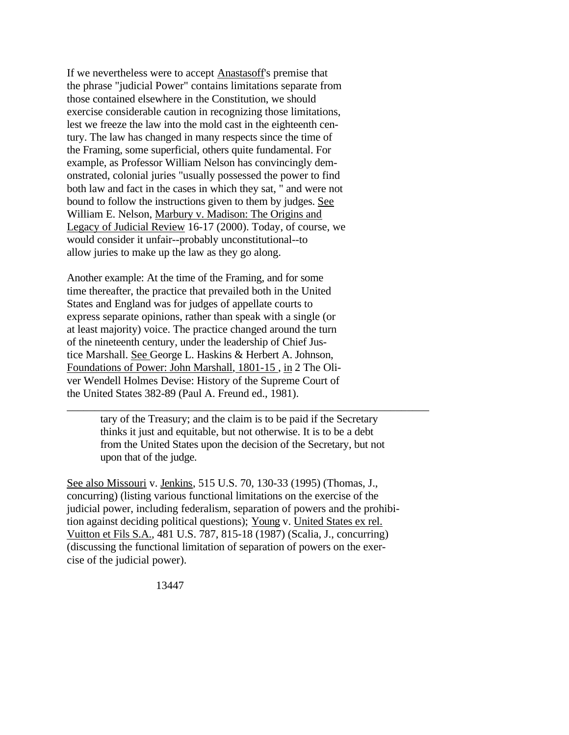If we nevertheless were to accept Anastasoff's premise that the phrase "judicial Power" contains limitations separate from those contained elsewhere in the Constitution, we should exercise considerable caution in recognizing those limitations, lest we freeze the law into the mold cast in the eighteenth century. The law has changed in many respects since the time of the Framing, some superficial, others quite fundamental. For example, as Professor William Nelson has convincingly demonstrated, colonial juries "usually possessed the power to find both law and fact in the cases in which they sat, " and were not bound to follow the instructions given to them by judges. See William E. Nelson, Marbury v. Madison: The Origins and Legacy of Judicial Review 16-17 (2000). Today, of course, we would consider it unfair--probably unconstitutional--to allow juries to make up the law as they go along.

Another example: At the time of the Framing, and for some time thereafter, the practice that prevailed both in the United States and England was for judges of appellate courts to express separate opinions, rather than speak with a single (or at least majority) voice. The practice changed around the turn of the nineteenth century, under the leadership of Chief Justice Marshall. See George L. Haskins & Herbert A. Johnson, Foundations of Power: John Marshall, 1801-15 , in 2 The Oliver Wendell Holmes Devise: History of the Supreme Court of the United States 382-89 (Paul A. Freund ed., 1981).

> tary of the Treasury; and the claim is to be paid if the Secretary thinks it just and equitable, but not otherwise. It is to be a debt from the United States upon the decision of the Secretary, but not upon that of the judge.

\_\_\_\_\_\_\_\_\_\_\_\_\_\_\_\_\_\_\_\_\_\_\_\_\_\_\_\_\_\_\_\_\_\_\_\_\_\_\_\_\_\_\_\_\_\_\_\_\_\_\_\_\_\_\_\_\_\_\_\_\_\_\_\_\_

See also Missouri v. Jenkins, 515 U.S. 70, 130-33 (1995) (Thomas, J., concurring) (listing various functional limitations on the exercise of the judicial power, including federalism, separation of powers and the prohibition against deciding political questions); Young v. United States ex rel. Vuitton et Fils S.A., 481 U.S. 787, 815-18 (1987) (Scalia, J., concurring) (discussing the functional limitation of separation of powers on the exercise of the judicial power).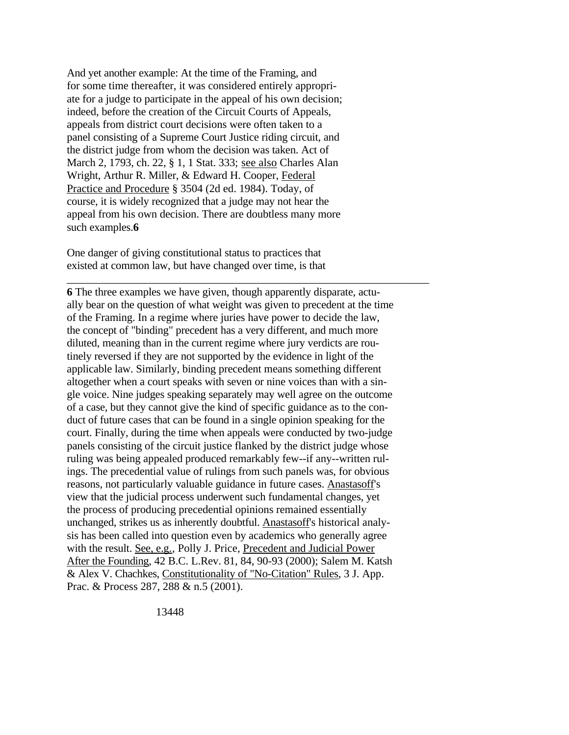And yet another example: At the time of the Framing, and for some time thereafter, it was considered entirely appropriate for a judge to participate in the appeal of his own decision; indeed, before the creation of the Circuit Courts of Appeals, appeals from district court decisions were often taken to a panel consisting of a Supreme Court Justice riding circuit, and the district judge from whom the decision was taken. Act of March 2, 1793, ch. 22, § 1, 1 Stat. 333; see also Charles Alan Wright, Arthur R. Miller, & Edward H. Cooper, Federal Practice and Procedure § 3504 (2d ed. 1984). Today, of course, it is widely recognized that a judge may not hear the appeal from his own decision. There are doubtless many more such examples.**6**

One danger of giving constitutional status to practices that existed at common law, but have changed over time, is that

**6** The three examples we have given, though apparently disparate, actually bear on the question of what weight was given to precedent at the time of the Framing. In a regime where juries have power to decide the law, the concept of "binding" precedent has a very different, and much more diluted, meaning than in the current regime where jury verdicts are routinely reversed if they are not supported by the evidence in light of the applicable law. Similarly, binding precedent means something different altogether when a court speaks with seven or nine voices than with a single voice. Nine judges speaking separately may well agree on the outcome of a case, but they cannot give the kind of specific guidance as to the conduct of future cases that can be found in a single opinion speaking for the court. Finally, during the time when appeals were conducted by two-judge panels consisting of the circuit justice flanked by the district judge whose ruling was being appealed produced remarkably few--if any--written rulings. The precedential value of rulings from such panels was, for obvious reasons, not particularly valuable guidance in future cases. Anastasoff's view that the judicial process underwent such fundamental changes, yet the process of producing precedential opinions remained essentially unchanged, strikes us as inherently doubtful. Anastasoff's historical analysis has been called into question even by academics who generally agree with the result. See, e.g., Polly J. Price, Precedent and Judicial Power After the Founding, 42 B.C. L.Rev. 81, 84, 90-93 (2000); Salem M. Katsh & Alex V. Chachkes, Constitutionality of "No-Citation" Rules, 3 J. App. Prac. & Process 287, 288 & n.5 (2001).

\_\_\_\_\_\_\_\_\_\_\_\_\_\_\_\_\_\_\_\_\_\_\_\_\_\_\_\_\_\_\_\_\_\_\_\_\_\_\_\_\_\_\_\_\_\_\_\_\_\_\_\_\_\_\_\_\_\_\_\_\_\_\_\_\_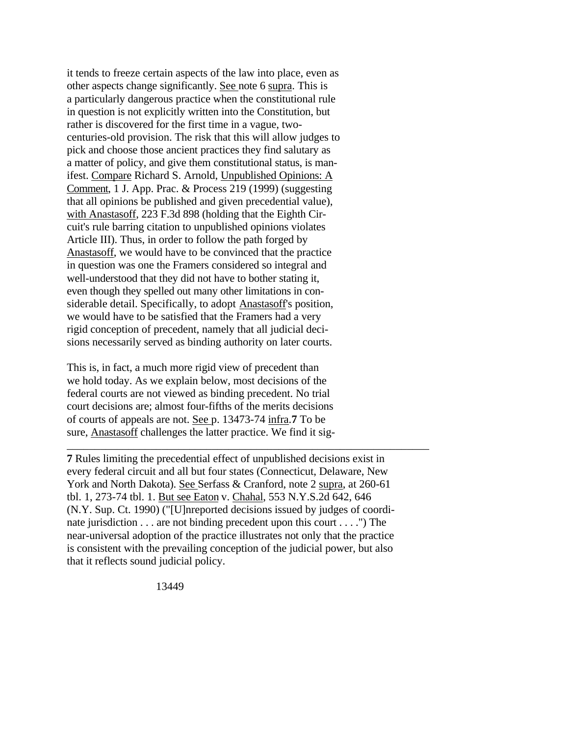it tends to freeze certain aspects of the law into place, even as other aspects change significantly. See note 6 supra. This is a particularly dangerous practice when the constitutional rule in question is not explicitly written into the Constitution, but rather is discovered for the first time in a vague, twocenturies-old provision. The risk that this will allow judges to pick and choose those ancient practices they find salutary as a matter of policy, and give them constitutional status, is manifest. Compare Richard S. Arnold, Unpublished Opinions: A Comment, 1 J. App. Prac. & Process 219 (1999) (suggesting that all opinions be published and given precedential value), with Anastasoff, 223 F.3d 898 (holding that the Eighth Circuit's rule barring citation to unpublished opinions violates Article III). Thus, in order to follow the path forged by Anastasoff, we would have to be convinced that the practice in question was one the Framers considered so integral and well-understood that they did not have to bother stating it, even though they spelled out many other limitations in considerable detail. Specifically, to adopt Anastasoff's position, we would have to be satisfied that the Framers had a very rigid conception of precedent, namely that all judicial decisions necessarily served as binding authority on later courts.

This is, in fact, a much more rigid view of precedent than we hold today. As we explain below, most decisions of the federal courts are not viewed as binding precedent. No trial court decisions are; almost four-fifths of the merits decisions of courts of appeals are not. See p. 13473-74 infra.**7** To be sure, Anastasoff challenges the latter practice. We find it sig-

**7** Rules limiting the precedential effect of unpublished decisions exist in every federal circuit and all but four states (Connecticut, Delaware, New York and North Dakota). See Serfass & Cranford, note 2 supra, at 260-61 tbl. 1, 273-74 tbl. 1. But see Eaton v. Chahal, 553 N.Y.S.2d 642, 646 (N.Y. Sup. Ct. 1990) ("[U]nreported decisions issued by judges of coordinate jurisdiction . . . are not binding precedent upon this court . . . .") The near-universal adoption of the practice illustrates not only that the practice is consistent with the prevailing conception of the judicial power, but also that it reflects sound judicial policy.

\_\_\_\_\_\_\_\_\_\_\_\_\_\_\_\_\_\_\_\_\_\_\_\_\_\_\_\_\_\_\_\_\_\_\_\_\_\_\_\_\_\_\_\_\_\_\_\_\_\_\_\_\_\_\_\_\_\_\_\_\_\_\_\_\_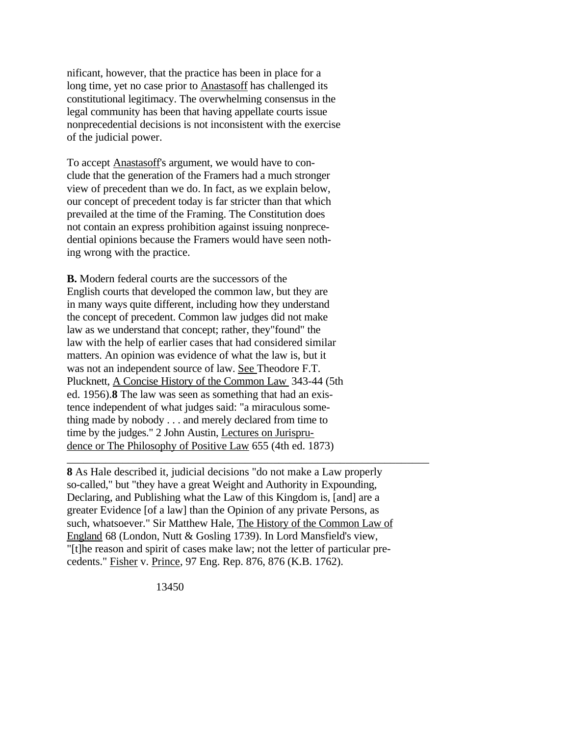nificant, however, that the practice has been in place for a long time, yet no case prior to Anastasoff has challenged its constitutional legitimacy. The overwhelming consensus in the legal community has been that having appellate courts issue nonprecedential decisions is not inconsistent with the exercise of the judicial power.

To accept Anastasoff's argument, we would have to conclude that the generation of the Framers had a much stronger view of precedent than we do. In fact, as we explain below, our concept of precedent today is far stricter than that which prevailed at the time of the Framing. The Constitution does not contain an express prohibition against issuing nonprecedential opinions because the Framers would have seen nothing wrong with the practice.

**B.** Modern federal courts are the successors of the English courts that developed the common law, but they are in many ways quite different, including how they understand the concept of precedent. Common law judges did not make law as we understand that concept; rather, they"found" the law with the help of earlier cases that had considered similar matters. An opinion was evidence of what the law is, but it was not an independent source of law. See Theodore F.T. Plucknett, A Concise History of the Common Law 343-44 (5th ed. 1956).**8** The law was seen as something that had an existence independent of what judges said: "a miraculous something made by nobody . . . and merely declared from time to time by the judges." 2 John Austin, Lectures on Jurisprudence or The Philosophy of Positive Law 655 (4th ed. 1873)

**8** As Hale described it, judicial decisions "do not make a Law properly so-called," but "they have a great Weight and Authority in Expounding, Declaring, and Publishing what the Law of this Kingdom is, [and] are a greater Evidence [of a law] than the Opinion of any private Persons, as such, whatsoever." Sir Matthew Hale, The History of the Common Law of England 68 (London, Nutt & Gosling 1739). In Lord Mansfield's view, "[t]he reason and spirit of cases make law; not the letter of particular precedents." Fisher v. Prince, 97 Eng. Rep. 876, 876 (K.B. 1762).

\_\_\_\_\_\_\_\_\_\_\_\_\_\_\_\_\_\_\_\_\_\_\_\_\_\_\_\_\_\_\_\_\_\_\_\_\_\_\_\_\_\_\_\_\_\_\_\_\_\_\_\_\_\_\_\_\_\_\_\_\_\_\_\_\_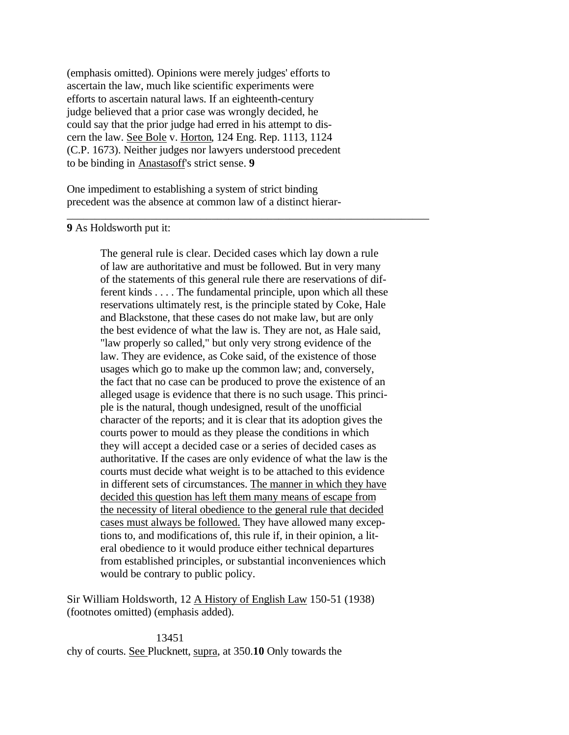(emphasis omitted). Opinions were merely judges' efforts to ascertain the law, much like scientific experiments were efforts to ascertain natural laws. If an eighteenth-century judge believed that a prior case was wrongly decided, he could say that the prior judge had erred in his attempt to discern the law. See Bole v. Horton, 124 Eng. Rep. 1113, 1124 (C.P. 1673). Neither judges nor lawyers understood precedent to be binding in Anastasoff's strict sense. **9**

One impediment to establishing a system of strict binding precedent was the absence at common law of a distinct hierar-

## **9** As Holdsworth put it:

The general rule is clear. Decided cases which lay down a rule of law are authoritative and must be followed. But in very many of the statements of this general rule there are reservations of different kinds . . . . The fundamental principle, upon which all these reservations ultimately rest, is the principle stated by Coke, Hale and Blackstone, that these cases do not make law, but are only the best evidence of what the law is. They are not, as Hale said, "law properly so called," but only very strong evidence of the law. They are evidence, as Coke said, of the existence of those usages which go to make up the common law; and, conversely, the fact that no case can be produced to prove the existence of an alleged usage is evidence that there is no such usage. This principle is the natural, though undesigned, result of the unofficial character of the reports; and it is clear that its adoption gives the courts power to mould as they please the conditions in which they will accept a decided case or a series of decided cases as authoritative. If the cases are only evidence of what the law is the courts must decide what weight is to be attached to this evidence in different sets of circumstances. The manner in which they have decided this question has left them many means of escape from the necessity of literal obedience to the general rule that decided cases must always be followed. They have allowed many exceptions to, and modifications of, this rule if, in their opinion, a literal obedience to it would produce either technical departures from established principles, or substantial inconveniences which would be contrary to public policy.

\_\_\_\_\_\_\_\_\_\_\_\_\_\_\_\_\_\_\_\_\_\_\_\_\_\_\_\_\_\_\_\_\_\_\_\_\_\_\_\_\_\_\_\_\_\_\_\_\_\_\_\_\_\_\_\_\_\_\_\_\_\_\_\_\_

Sir William Holdsworth, 12 A History of English Law 150-51 (1938) (footnotes omitted) (emphasis added).

#### 13451

chy of courts. See Plucknett, supra, at 350.**10** Only towards the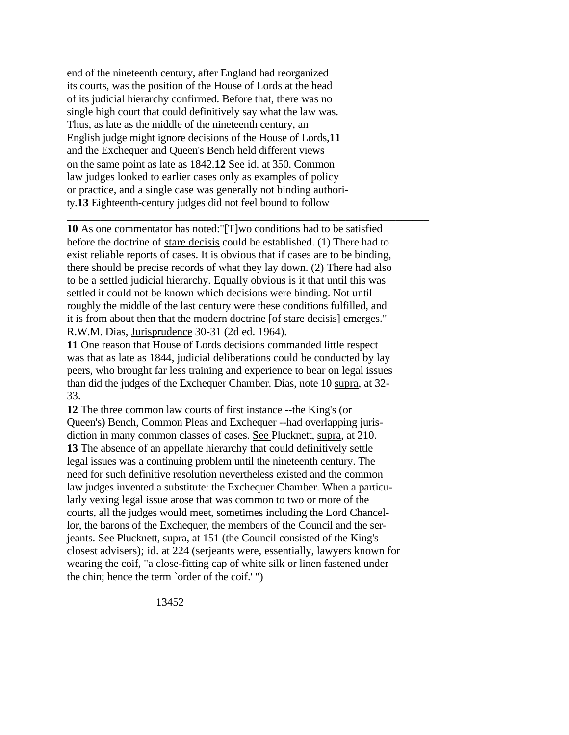end of the nineteenth century, after England had reorganized its courts, was the position of the House of Lords at the head of its judicial hierarchy confirmed. Before that, there was no single high court that could definitively say what the law was. Thus, as late as the middle of the nineteenth century, an English judge might ignore decisions of the House of Lords,**11** and the Exchequer and Queen's Bench held different views on the same point as late as 1842.**12** See id. at 350. Common law judges looked to earlier cases only as examples of policy or practice, and a single case was generally not binding authority.**13** Eighteenth-century judges did not feel bound to follow

**10** As one commentator has noted:"[T]wo conditions had to be satisfied before the doctrine of stare decisis could be established. (1) There had to exist reliable reports of cases. It is obvious that if cases are to be binding, there should be precise records of what they lay down. (2) There had also to be a settled judicial hierarchy. Equally obvious is it that until this was settled it could not be known which decisions were binding. Not until roughly the middle of the last century were these conditions fulfilled, and it is from about then that the modern doctrine [of stare decisis] emerges." R.W.M. Dias, Jurisprudence 30-31 (2d ed. 1964).

\_\_\_\_\_\_\_\_\_\_\_\_\_\_\_\_\_\_\_\_\_\_\_\_\_\_\_\_\_\_\_\_\_\_\_\_\_\_\_\_\_\_\_\_\_\_\_\_\_\_\_\_\_\_\_\_\_\_\_\_\_\_\_\_\_

**11** One reason that House of Lords decisions commanded little respect was that as late as 1844, judicial deliberations could be conducted by lay peers, who brought far less training and experience to bear on legal issues than did the judges of the Exchequer Chamber. Dias, note 10 supra, at 32- 33.

**12** The three common law courts of first instance --the King's (or Queen's) Bench, Common Pleas and Exchequer --had overlapping jurisdiction in many common classes of cases. See Plucknett, supra, at 210. **13** The absence of an appellate hierarchy that could definitively settle legal issues was a continuing problem until the nineteenth century. The need for such definitive resolution nevertheless existed and the common law judges invented a substitute: the Exchequer Chamber. When a particularly vexing legal issue arose that was common to two or more of the courts, all the judges would meet, sometimes including the Lord Chancellor, the barons of the Exchequer, the members of the Council and the serjeants. See Plucknett, supra, at 151 (the Council consisted of the King's closest advisers); id. at 224 (serjeants were, essentially, lawyers known for wearing the coif, "a close-fitting cap of white silk or linen fastened under the chin; hence the term `order of the coif.' ")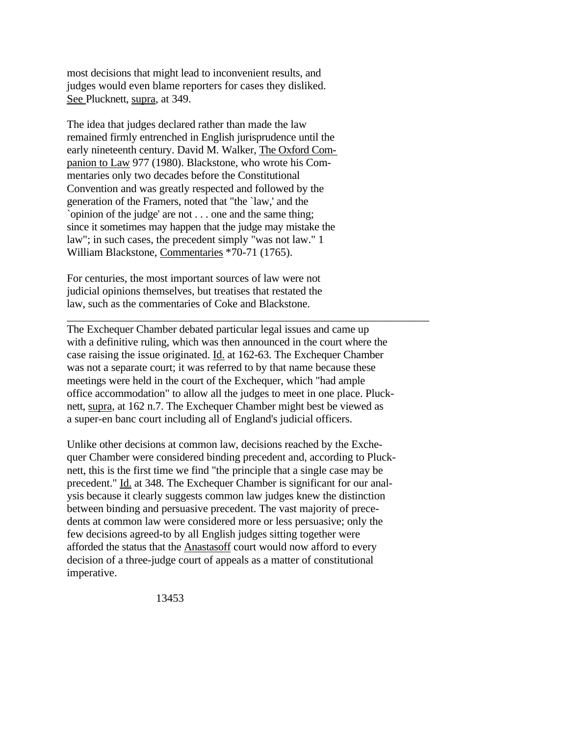most decisions that might lead to inconvenient results, and judges would even blame reporters for cases they disliked. See Plucknett, supra, at 349.

The idea that judges declared rather than made the law remained firmly entrenched in English jurisprudence until the early nineteenth century. David M. Walker, The Oxford Companion to Law 977 (1980). Blackstone, who wrote his Commentaries only two decades before the Constitutional Convention and was greatly respected and followed by the generation of the Framers, noted that "the `law,' and the `opinion of the judge' are not . . . one and the same thing; since it sometimes may happen that the judge may mistake the law"; in such cases, the precedent simply "was not law." 1 William Blackstone, Commentaries \*70-71 (1765).

For centuries, the most important sources of law were not judicial opinions themselves, but treatises that restated the law, such as the commentaries of Coke and Blackstone.

\_\_\_\_\_\_\_\_\_\_\_\_\_\_\_\_\_\_\_\_\_\_\_\_\_\_\_\_\_\_\_\_\_\_\_\_\_\_\_\_\_\_\_\_\_\_\_\_\_\_\_\_\_\_\_\_\_\_\_\_\_\_\_\_\_ The Exchequer Chamber debated particular legal issues and came up with a definitive ruling, which was then announced in the court where the case raising the issue originated. Id. at 162-63. The Exchequer Chamber was not a separate court; it was referred to by that name because these meetings were held in the court of the Exchequer, which "had ample office accommodation" to allow all the judges to meet in one place. Plucknett, supra, at 162 n.7. The Exchequer Chamber might best be viewed as a super-en banc court including all of England's judicial officers.

Unlike other decisions at common law, decisions reached by the Exchequer Chamber were considered binding precedent and, according to Plucknett, this is the first time we find "the principle that a single case may be precedent." Id. at 348. The Exchequer Chamber is significant for our analysis because it clearly suggests common law judges knew the distinction between binding and persuasive precedent. The vast majority of precedents at common law were considered more or less persuasive; only the few decisions agreed-to by all English judges sitting together were afforded the status that the Anastasoff court would now afford to every decision of a three-judge court of appeals as a matter of constitutional imperative.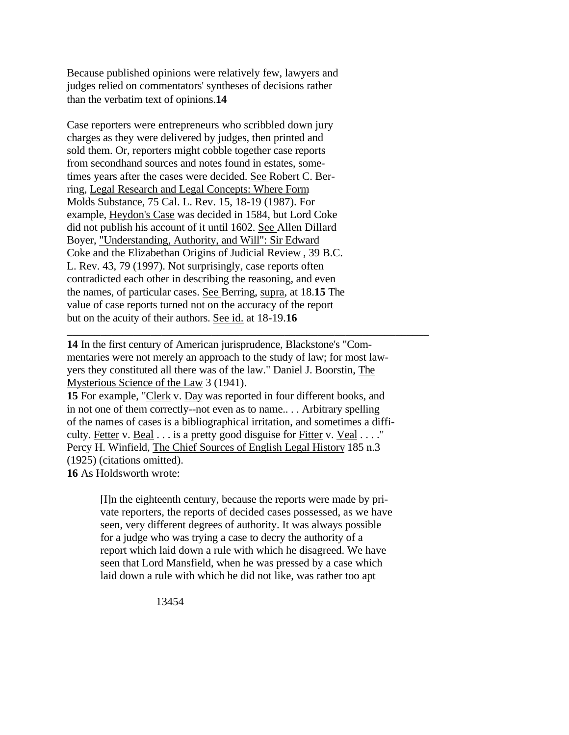Because published opinions were relatively few, lawyers and judges relied on commentators' syntheses of decisions rather than the verbatim text of opinions.**14**

Case reporters were entrepreneurs who scribbled down jury charges as they were delivered by judges, then printed and sold them. Or, reporters might cobble together case reports from secondhand sources and notes found in estates, sometimes years after the cases were decided. See Robert C. Berring, Legal Research and Legal Concepts: Where Form Molds Substance, 75 Cal. L. Rev. 15, 18-19 (1987). For example, Heydon's Case was decided in 1584, but Lord Coke did not publish his account of it until 1602. See Allen Dillard Boyer, "Understanding, Authority, and Will": Sir Edward Coke and the Elizabethan Origins of Judicial Review , 39 B.C. L. Rev. 43, 79 (1997). Not surprisingly, case reports often contradicted each other in describing the reasoning, and even the names, of particular cases. See Berring, supra, at 18.**15** The value of case reports turned not on the accuracy of the report but on the acuity of their authors. See id. at 18-19.**16**

**14** In the first century of American jurisprudence, Blackstone's "Commentaries were not merely an approach to the study of law; for most lawyers they constituted all there was of the law." Daniel J. Boorstin, The Mysterious Science of the Law 3 (1941).

\_\_\_\_\_\_\_\_\_\_\_\_\_\_\_\_\_\_\_\_\_\_\_\_\_\_\_\_\_\_\_\_\_\_\_\_\_\_\_\_\_\_\_\_\_\_\_\_\_\_\_\_\_\_\_\_\_\_\_\_\_\_\_\_\_

**15** For example, "Clerk v. Day was reported in four different books, and in not one of them correctly--not even as to name.. . . Arbitrary spelling of the names of cases is a bibliographical irritation, and sometimes a difficulty. Fetter v. Beal . . . is a pretty good disguise for Fitter v. Veal . . . ." Percy H. Winfield, The Chief Sources of English Legal History 185 n.3 (1925) (citations omitted).

**16** As Holdsworth wrote:

[I]n the eighteenth century, because the reports were made by private reporters, the reports of decided cases possessed, as we have seen, very different degrees of authority. It was always possible for a judge who was trying a case to decry the authority of a report which laid down a rule with which he disagreed. We have seen that Lord Mansfield, when he was pressed by a case which laid down a rule with which he did not like, was rather too apt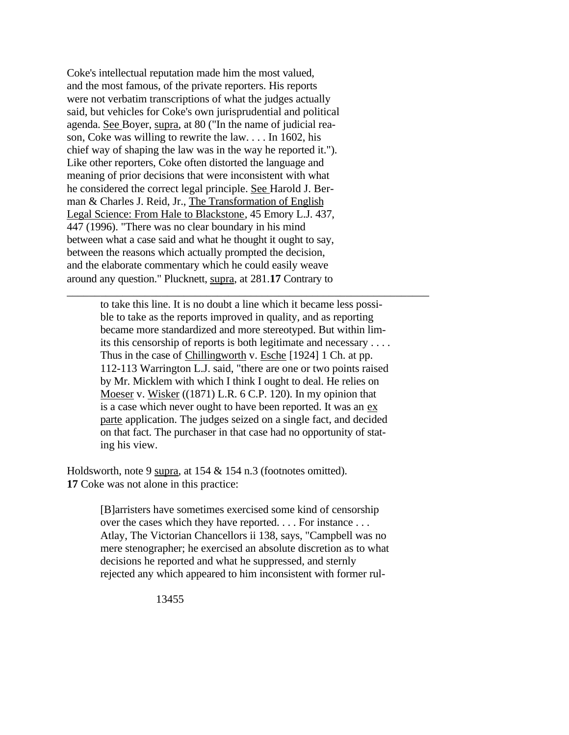Coke's intellectual reputation made him the most valued, and the most famous, of the private reporters. His reports were not verbatim transcriptions of what the judges actually said, but vehicles for Coke's own jurisprudential and political agenda. See Boyer, supra, at 80 ("In the name of judicial reason, Coke was willing to rewrite the law. . . . In 1602, his chief way of shaping the law was in the way he reported it."). Like other reporters, Coke often distorted the language and meaning of prior decisions that were inconsistent with what he considered the correct legal principle. See Harold J. Berman & Charles J. Reid, Jr., The Transformation of English Legal Science: From Hale to Blackstone, 45 Emory L.J. 437, 447 (1996). "There was no clear boundary in his mind between what a case said and what he thought it ought to say, between the reasons which actually prompted the decision, and the elaborate commentary which he could easily weave around any question." Plucknett, supra, at 281.**17** Contrary to

> to take this line. It is no doubt a line which it became less possible to take as the reports improved in quality, and as reporting became more standardized and more stereotyped. But within limits this censorship of reports is both legitimate and necessary . . . . Thus in the case of Chillingworth v. Esche [1924] 1 Ch. at pp. 112-113 Warrington L.J. said, "there are one or two points raised by Mr. Micklem with which I think I ought to deal. He relies on Moeser v. Wisker ((1871) L.R. 6 C.P. 120). In my opinion that is a case which never ought to have been reported. It was an ex parte application. The judges seized on a single fact, and decided on that fact. The purchaser in that case had no opportunity of stating his view.

\_\_\_\_\_\_\_\_\_\_\_\_\_\_\_\_\_\_\_\_\_\_\_\_\_\_\_\_\_\_\_\_\_\_\_\_\_\_\_\_\_\_\_\_\_\_\_\_\_\_\_\_\_\_\_\_\_\_\_\_\_\_\_\_\_

Holdsworth, note 9 supra, at 154 & 154 n.3 (footnotes omitted). **17** Coke was not alone in this practice:

> [B]arristers have sometimes exercised some kind of censorship over the cases which they have reported. . . . For instance . . . Atlay, The Victorian Chancellors ii 138, says, "Campbell was no mere stenographer; he exercised an absolute discretion as to what decisions he reported and what he suppressed, and sternly rejected any which appeared to him inconsistent with former rul-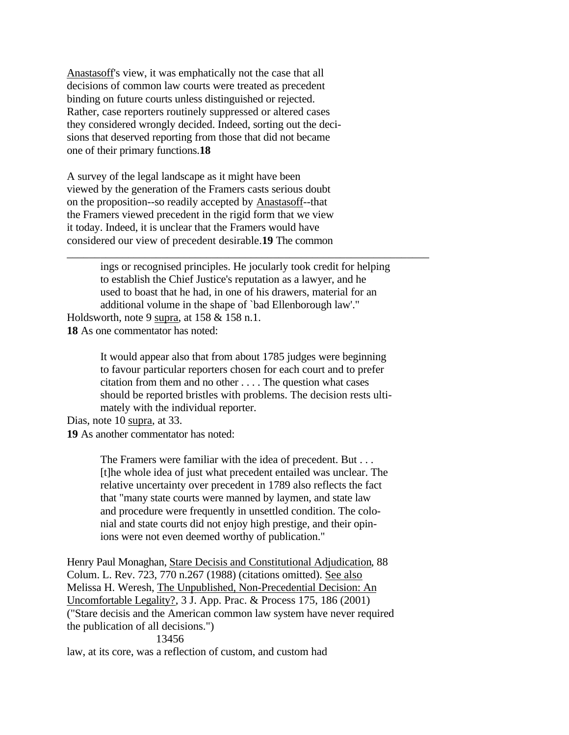Anastasoff's view, it was emphatically not the case that all decisions of common law courts were treated as precedent binding on future courts unless distinguished or rejected. Rather, case reporters routinely suppressed or altered cases they considered wrongly decided. Indeed, sorting out the decisions that deserved reporting from those that did not became one of their primary functions.**18**

A survey of the legal landscape as it might have been viewed by the generation of the Framers casts serious doubt on the proposition--so readily accepted by Anastasoff--that the Framers viewed precedent in the rigid form that we view it today. Indeed, it is unclear that the Framers would have considered our view of precedent desirable.**19** The common

ings or recognised principles. He jocularly took credit for helping to establish the Chief Justice's reputation as a lawyer, and he used to boast that he had, in one of his drawers, material for an additional volume in the shape of `bad Ellenborough law'." Holdsworth, note 9 supra, at 158 & 158 n.1.

\_\_\_\_\_\_\_\_\_\_\_\_\_\_\_\_\_\_\_\_\_\_\_\_\_\_\_\_\_\_\_\_\_\_\_\_\_\_\_\_\_\_\_\_\_\_\_\_\_\_\_\_\_\_\_\_\_\_\_\_\_\_\_\_\_

**18** As one commentator has noted:

It would appear also that from about 1785 judges were beginning to favour particular reporters chosen for each court and to prefer citation from them and no other . . . . The question what cases should be reported bristles with problems. The decision rests ultimately with the individual reporter.

Dias, note 10 supra, at 33.

**19** As another commentator has noted:

The Framers were familiar with the idea of precedent. But . . . [t]he whole idea of just what precedent entailed was unclear. The relative uncertainty over precedent in 1789 also reflects the fact that "many state courts were manned by laymen, and state law and procedure were frequently in unsettled condition. The colonial and state courts did not enjoy high prestige, and their opinions were not even deemed worthy of publication."

Henry Paul Monaghan, Stare Decisis and Constitutional Adjudication, 88 Colum. L. Rev. 723, 770 n.267 (1988) (citations omitted). See also Melissa H. Weresh, The Unpublished, Non-Precedential Decision: An Uncomfortable Legality?, 3 J. App. Prac. & Process 175, 186 (2001) ("Stare decisis and the American common law system have never required the publication of all decisions.") 13456

law, at its core, was a reflection of custom, and custom had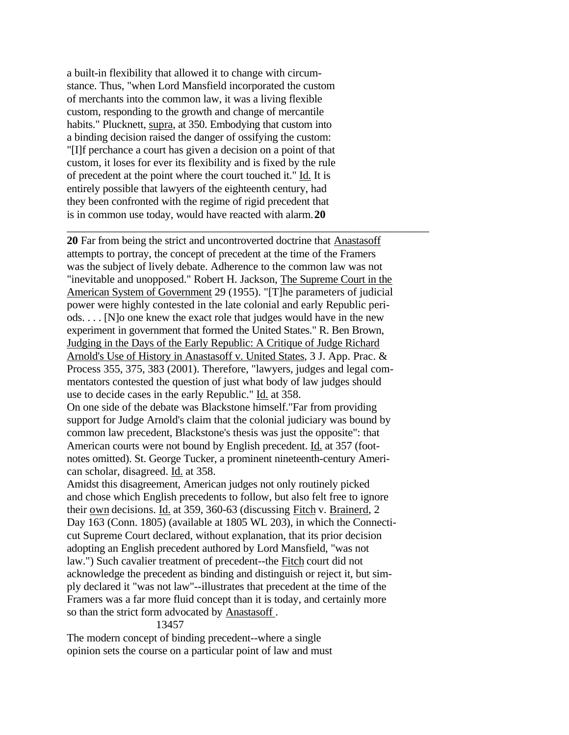a built-in flexibility that allowed it to change with circumstance. Thus, "when Lord Mansfield incorporated the custom of merchants into the common law, it was a living flexible custom, responding to the growth and change of mercantile habits." Plucknett, supra, at 350. Embodying that custom into a binding decision raised the danger of ossifying the custom: "[I]f perchance a court has given a decision on a point of that custom, it loses for ever its flexibility and is fixed by the rule of precedent at the point where the court touched it." Id. It is entirely possible that lawyers of the eighteenth century, had they been confronted with the regime of rigid precedent that is in common use today, would have reacted with alarm.**20**

**20** Far from being the strict and uncontroverted doctrine that Anastasoff attempts to portray, the concept of precedent at the time of the Framers was the subject of lively debate. Adherence to the common law was not "inevitable and unopposed." Robert H. Jackson, The Supreme Court in the American System of Government 29 (1955). "[T]he parameters of judicial power were highly contested in the late colonial and early Republic periods. . . . [N]o one knew the exact role that judges would have in the new experiment in government that formed the United States." R. Ben Brown, Judging in the Days of the Early Republic: A Critique of Judge Richard Arnold's Use of History in Anastasoff v. United States, 3 J. App. Prac. & Process 355, 375, 383 (2001). Therefore, "lawyers, judges and legal commentators contested the question of just what body of law judges should use to decide cases in the early Republic." Id. at 358.

\_\_\_\_\_\_\_\_\_\_\_\_\_\_\_\_\_\_\_\_\_\_\_\_\_\_\_\_\_\_\_\_\_\_\_\_\_\_\_\_\_\_\_\_\_\_\_\_\_\_\_\_\_\_\_\_\_\_\_\_\_\_\_\_\_

On one side of the debate was Blackstone himself."Far from providing support for Judge Arnold's claim that the colonial judiciary was bound by common law precedent, Blackstone's thesis was just the opposite": that American courts were not bound by English precedent. Id. at 357 (footnotes omitted). St. George Tucker, a prominent nineteenth-century American scholar, disagreed. Id. at 358.

Amidst this disagreement, American judges not only routinely picked and chose which English precedents to follow, but also felt free to ignore their <u>own</u> decisions. Id. at 359, 360-63 (discussing Fitch v. Brainerd, 2 Day 163 (Conn. 1805) (available at 1805 WL 203), in which the Connecticut Supreme Court declared, without explanation, that its prior decision adopting an English precedent authored by Lord Mansfield, "was not law.") Such cavalier treatment of precedent--the Fitch court did not acknowledge the precedent as binding and distinguish or reject it, but simply declared it "was not law"--illustrates that precedent at the time of the Framers was a far more fluid concept than it is today, and certainly more so than the strict form advocated by Anastasoff .

#### 13457

The modern concept of binding precedent--where a single opinion sets the course on a particular point of law and must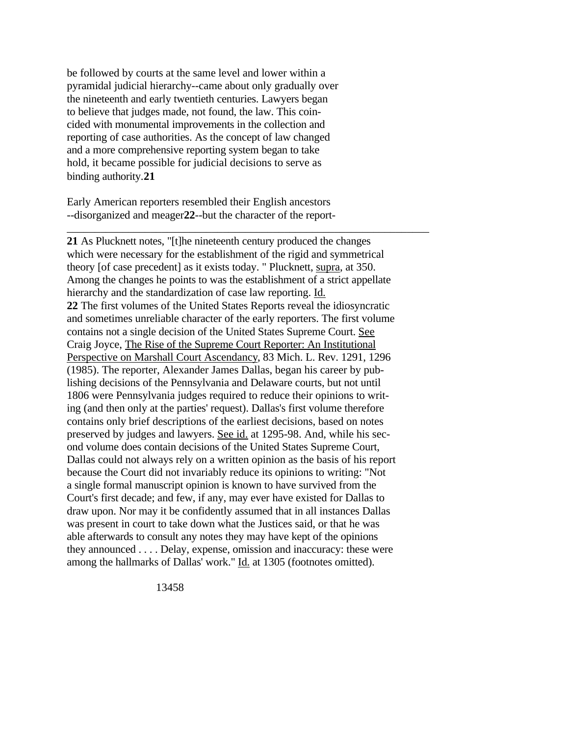be followed by courts at the same level and lower within a pyramidal judicial hierarchy--came about only gradually over the nineteenth and early twentieth centuries. Lawyers began to believe that judges made, not found, the law. This coincided with monumental improvements in the collection and reporting of case authorities. As the concept of law changed and a more comprehensive reporting system began to take hold, it became possible for judicial decisions to serve as binding authority.**21**

Early American reporters resembled their English ancestors --disorganized and meager**22**--but the character of the report-

**21** As Plucknett notes, "[t]he nineteenth century produced the changes which were necessary for the establishment of the rigid and symmetrical theory [of case precedent] as it exists today. " Plucknett, supra, at 350. Among the changes he points to was the establishment of a strict appellate hierarchy and the standardization of case law reporting. Id. **22** The first volumes of the United States Reports reveal the idiosyncratic and sometimes unreliable character of the early reporters. The first volume contains not a single decision of the United States Supreme Court. See Craig Joyce, The Rise of the Supreme Court Reporter: An Institutional Perspective on Marshall Court Ascendancy, 83 Mich. L. Rev. 1291, 1296 (1985). The reporter, Alexander James Dallas, began his career by publishing decisions of the Pennsylvania and Delaware courts, but not until 1806 were Pennsylvania judges required to reduce their opinions to writing (and then only at the parties' request). Dallas's first volume therefore contains only brief descriptions of the earliest decisions, based on notes preserved by judges and lawyers. See id. at 1295-98. And, while his second volume does contain decisions of the United States Supreme Court, Dallas could not always rely on a written opinion as the basis of his report because the Court did not invariably reduce its opinions to writing: "Not a single formal manuscript opinion is known to have survived from the Court's first decade; and few, if any, may ever have existed for Dallas to draw upon. Nor may it be confidently assumed that in all instances Dallas was present in court to take down what the Justices said, or that he was able afterwards to consult any notes they may have kept of the opinions they announced . . . . Delay, expense, omission and inaccuracy: these were among the hallmarks of Dallas' work." Id. at 1305 (footnotes omitted).

\_\_\_\_\_\_\_\_\_\_\_\_\_\_\_\_\_\_\_\_\_\_\_\_\_\_\_\_\_\_\_\_\_\_\_\_\_\_\_\_\_\_\_\_\_\_\_\_\_\_\_\_\_\_\_\_\_\_\_\_\_\_\_\_\_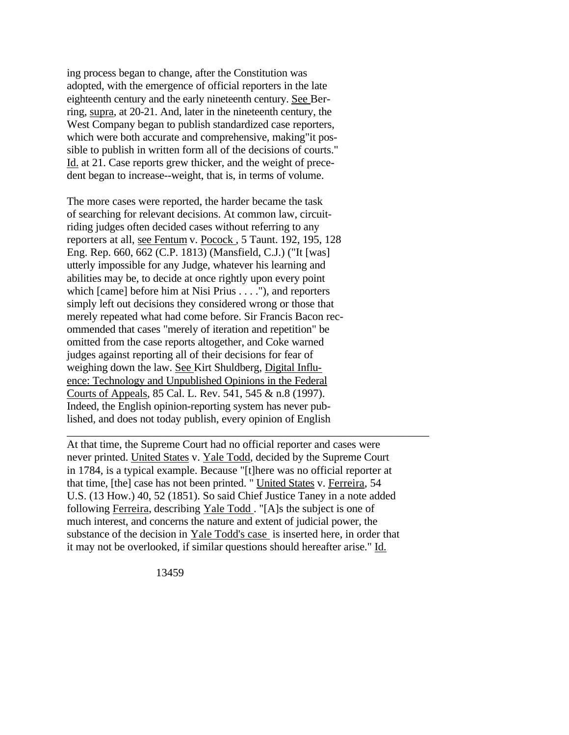ing process began to change, after the Constitution was adopted, with the emergence of official reporters in the late eighteenth century and the early nineteenth century. See Berring, supra, at 20-21. And, later in the nineteenth century, the West Company began to publish standardized case reporters, which were both accurate and comprehensive, making"it possible to publish in written form all of the decisions of courts." Id. at 21. Case reports grew thicker, and the weight of precedent began to increase--weight, that is, in terms of volume.

The more cases were reported, the harder became the task of searching for relevant decisions. At common law, circuitriding judges often decided cases without referring to any reporters at all, see Fentum v. Pocock , 5 Taunt. 192, 195, 128 Eng. Rep. 660, 662 (C.P. 1813) (Mansfield, C.J.) ("It [was] utterly impossible for any Judge, whatever his learning and abilities may be, to decide at once rightly upon every point which [came] before him at Nisi Prius . . . ."), and reporters simply left out decisions they considered wrong or those that merely repeated what had come before. Sir Francis Bacon recommended that cases "merely of iteration and repetition" be omitted from the case reports altogether, and Coke warned judges against reporting all of their decisions for fear of weighing down the law. See Kirt Shuldberg, Digital Influence: Technology and Unpublished Opinions in the Federal Courts of Appeals, 85 Cal. L. Rev. 541, 545 & n.8 (1997). Indeed, the English opinion-reporting system has never published, and does not today publish, every opinion of English

At that time, the Supreme Court had no official reporter and cases were never printed. United States v. Yale Todd, decided by the Supreme Court in 1784, is a typical example. Because "[t]here was no official reporter at that time, [the] case has not been printed. " United States v. Ferreira, 54 U.S. (13 How.) 40, 52 (1851). So said Chief Justice Taney in a note added following Ferreira, describing Yale Todd . "[A]s the subject is one of much interest, and concerns the nature and extent of judicial power, the substance of the decision in Yale Todd's case is inserted here, in order that it may not be overlooked, if similar questions should hereafter arise." Id.

\_\_\_\_\_\_\_\_\_\_\_\_\_\_\_\_\_\_\_\_\_\_\_\_\_\_\_\_\_\_\_\_\_\_\_\_\_\_\_\_\_\_\_\_\_\_\_\_\_\_\_\_\_\_\_\_\_\_\_\_\_\_\_\_\_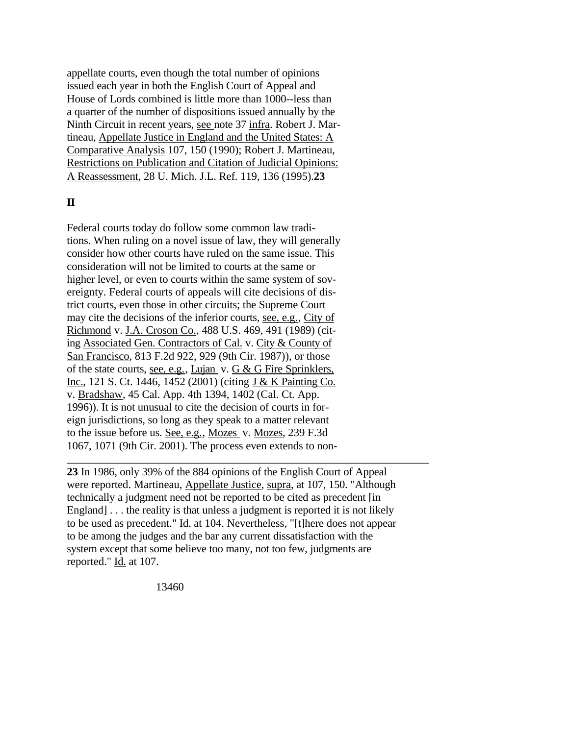appellate courts, even though the total number of opinions issued each year in both the English Court of Appeal and House of Lords combined is little more than 1000--less than a quarter of the number of dispositions issued annually by the Ninth Circuit in recent years, see note 37 infra. Robert J. Martineau, Appellate Justice in England and the United States: A Comparative Analysis 107, 150 (1990); Robert J. Martineau, Restrictions on Publication and Citation of Judicial Opinions: A Reassessment, 28 U. Mich. J.L. Ref. 119, 136 (1995).**23**

## **II**

Federal courts today do follow some common law traditions. When ruling on a novel issue of law, they will generally consider how other courts have ruled on the same issue. This consideration will not be limited to courts at the same or higher level, or even to courts within the same system of sovereignty. Federal courts of appeals will cite decisions of district courts, even those in other circuits; the Supreme Court may cite the decisions of the inferior courts, see, e.g., City of Richmond v. J.A. Croson Co., 488 U.S. 469, 491 (1989) (citing Associated Gen. Contractors of Cal. v. City & County of San Francisco, 813 F.2d 922, 929 (9th Cir. 1987)), or those of the state courts, see, e.g., Lujan v. G & G Fire Sprinklers, Inc., 121 S. Ct. 1446, 1452 (2001) (citing J & K Painting Co. v. Bradshaw, 45 Cal. App. 4th 1394, 1402 (Cal. Ct. App. 1996)). It is not unusual to cite the decision of courts in foreign jurisdictions, so long as they speak to a matter relevant to the issue before us. See, e.g., Mozes v. Mozes, 239 F.3d 1067, 1071 (9th Cir. 2001). The process even extends to non- \_\_\_\_\_\_\_\_\_\_\_\_\_\_\_\_\_\_\_\_\_\_\_\_\_\_\_\_\_\_\_\_\_\_\_\_\_\_\_\_\_\_\_\_\_\_\_\_\_\_\_\_\_\_\_\_\_\_\_\_\_\_\_\_\_

**23** In 1986, only 39% of the 884 opinions of the English Court of Appeal were reported. Martineau, Appellate Justice, supra, at 107, 150. "Although technically a judgment need not be reported to be cited as precedent [in England] . . . the reality is that unless a judgment is reported it is not likely to be used as precedent." Id. at 104. Nevertheless, "[t]here does not appear to be among the judges and the bar any current dissatisfaction with the system except that some believe too many, not too few, judgments are reported." Id. at 107.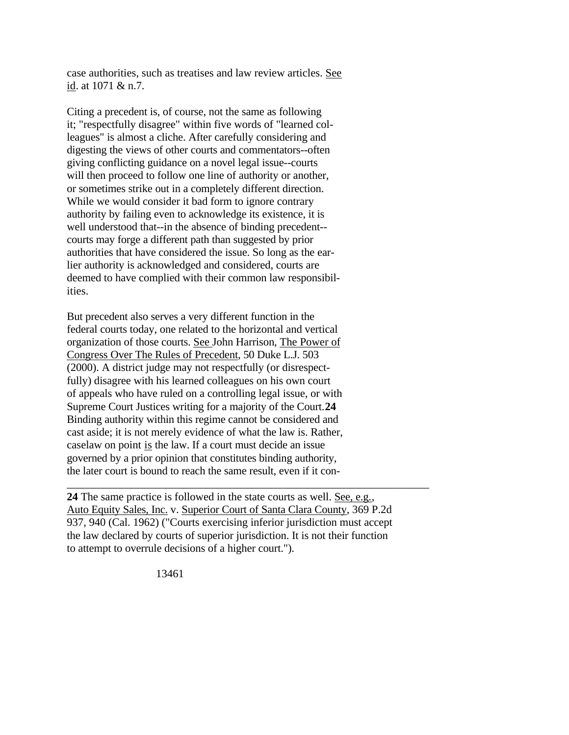case authorities, such as treatises and law review articles. See id. at 1071 & n.7.

Citing a precedent is, of course, not the same as following it; "respectfully disagree" within five words of "learned colleagues" is almost a cliche. After carefully considering and digesting the views of other courts and commentators--often giving conflicting guidance on a novel legal issue--courts will then proceed to follow one line of authority or another, or sometimes strike out in a completely different direction. While we would consider it bad form to ignore contrary authority by failing even to acknowledge its existence, it is well understood that--in the absence of binding precedent- courts may forge a different path than suggested by prior authorities that have considered the issue. So long as the earlier authority is acknowledged and considered, courts are deemed to have complied with their common law responsibilities.

But precedent also serves a very different function in the federal courts today, one related to the horizontal and vertical organization of those courts. See John Harrison, The Power of Congress Over The Rules of Precedent, 50 Duke L.J. 503 (2000). A district judge may not respectfully (or disrespectfully) disagree with his learned colleagues on his own court of appeals who have ruled on a controlling legal issue, or with Supreme Court Justices writing for a majority of the Court.**24** Binding authority within this regime cannot be considered and cast aside; it is not merely evidence of what the law is. Rather, caselaw on point is the law. If a court must decide an issue governed by a prior opinion that constitutes binding authority, the later court is bound to reach the same result, even if it con-

**24** The same practice is followed in the state courts as well. See, e.g., Auto Equity Sales, Inc. v. Superior Court of Santa Clara County, 369 P.2d 937, 940 (Cal. 1962) ("Courts exercising inferior jurisdiction must accept the law declared by courts of superior jurisdiction. It is not their function to attempt to overrule decisions of a higher court.").

\_\_\_\_\_\_\_\_\_\_\_\_\_\_\_\_\_\_\_\_\_\_\_\_\_\_\_\_\_\_\_\_\_\_\_\_\_\_\_\_\_\_\_\_\_\_\_\_\_\_\_\_\_\_\_\_\_\_\_\_\_\_\_\_\_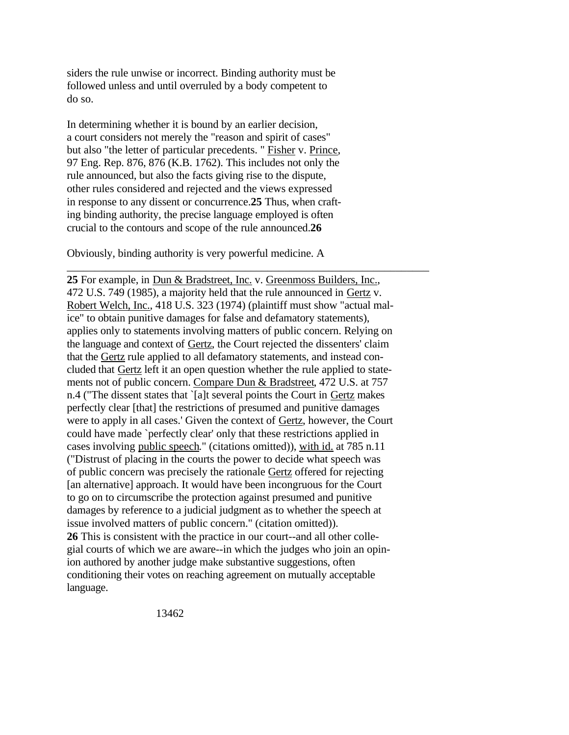siders the rule unwise or incorrect. Binding authority must be followed unless and until overruled by a body competent to do so.

In determining whether it is bound by an earlier decision, a court considers not merely the "reason and spirit of cases" but also "the letter of particular precedents. " Fisher v. Prince, 97 Eng. Rep. 876, 876 (K.B. 1762). This includes not only the rule announced, but also the facts giving rise to the dispute, other rules considered and rejected and the views expressed in response to any dissent or concurrence.**25** Thus, when crafting binding authority, the precise language employed is often crucial to the contours and scope of the rule announced.**26**

Obviously, binding authority is very powerful medicine. A

**25** For example, in Dun & Bradstreet, Inc. v. Greenmoss Builders, Inc., 472 U.S. 749 (1985), a majority held that the rule announced in Gertz v. Robert Welch, Inc., 418 U.S. 323 (1974) (plaintiff must show "actual malice" to obtain punitive damages for false and defamatory statements), applies only to statements involving matters of public concern. Relying on the language and context of Gertz, the Court rejected the dissenters' claim that the Gertz rule applied to all defamatory statements, and instead concluded that Gertz left it an open question whether the rule applied to statements not of public concern. Compare Dun & Bradstreet, 472 U.S. at 757 n.4 ("The dissent states that `[a]t several points the Court in Gertz makes perfectly clear [that] the restrictions of presumed and punitive damages were to apply in all cases.' Given the context of Gertz, however, the Court could have made `perfectly clear' only that these restrictions applied in cases involving public speech." (citations omitted)), with id. at 785 n.11 ("Distrust of placing in the courts the power to decide what speech was of public concern was precisely the rationale Gertz offered for rejecting [an alternative] approach. It would have been incongruous for the Court to go on to circumscribe the protection against presumed and punitive damages by reference to a judicial judgment as to whether the speech at issue involved matters of public concern." (citation omitted)). **26** This is consistent with the practice in our court--and all other collegial courts of which we are aware--in which the judges who join an opinion authored by another judge make substantive suggestions, often conditioning their votes on reaching agreement on mutually acceptable language.

\_\_\_\_\_\_\_\_\_\_\_\_\_\_\_\_\_\_\_\_\_\_\_\_\_\_\_\_\_\_\_\_\_\_\_\_\_\_\_\_\_\_\_\_\_\_\_\_\_\_\_\_\_\_\_\_\_\_\_\_\_\_\_\_\_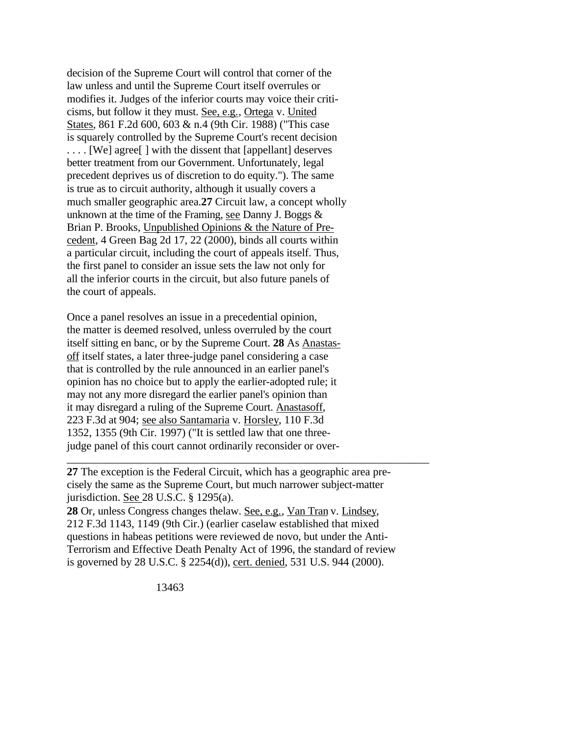decision of the Supreme Court will control that corner of the law unless and until the Supreme Court itself overrules or modifies it. Judges of the inferior courts may voice their criticisms, but follow it they must. See, e.g., Ortega v. United States, 861 F.2d 600, 603 & n.4 (9th Cir. 1988) ("This case is squarely controlled by the Supreme Court's recent decision . . . . [We] agree[ ] with the dissent that [appellant] deserves better treatment from our Government. Unfortunately, legal precedent deprives us of discretion to do equity."). The same is true as to circuit authority, although it usually covers a much smaller geographic area.**27** Circuit law, a concept wholly unknown at the time of the Framing, see Danny J. Boggs & Brian P. Brooks, Unpublished Opinions & the Nature of Precedent, 4 Green Bag 2d 17, 22 (2000), binds all courts within a particular circuit, including the court of appeals itself. Thus, the first panel to consider an issue sets the law not only for all the inferior courts in the circuit, but also future panels of the court of appeals.

Once a panel resolves an issue in a precedential opinion, the matter is deemed resolved, unless overruled by the court itself sitting en banc, or by the Supreme Court. **28** As Anastasoff itself states, a later three-judge panel considering a case that is controlled by the rule announced in an earlier panel's opinion has no choice but to apply the earlier-adopted rule; it may not any more disregard the earlier panel's opinion than it may disregard a ruling of the Supreme Court. Anastasoff, 223 F.3d at 904; see also Santamaria v. Horsley, 110 F.3d 1352, 1355 (9th Cir. 1997) ("It is settled law that one threejudge panel of this court cannot ordinarily reconsider or over-

**27** The exception is the Federal Circuit, which has a geographic area precisely the same as the Supreme Court, but much narrower subject-matter jurisdiction. See 28 U.S.C. § 1295(a).

\_\_\_\_\_\_\_\_\_\_\_\_\_\_\_\_\_\_\_\_\_\_\_\_\_\_\_\_\_\_\_\_\_\_\_\_\_\_\_\_\_\_\_\_\_\_\_\_\_\_\_\_\_\_\_\_\_\_\_\_\_\_\_\_\_

**28** Or, unless Congress changes thelaw. See, e.g., Van Tran v. Lindsey, 212 F.3d 1143, 1149 (9th Cir.) (earlier caselaw established that mixed questions in habeas petitions were reviewed de novo, but under the Anti-Terrorism and Effective Death Penalty Act of 1996, the standard of review is governed by 28 U.S.C. § 2254(d)), cert. denied, 531 U.S. 944 (2000).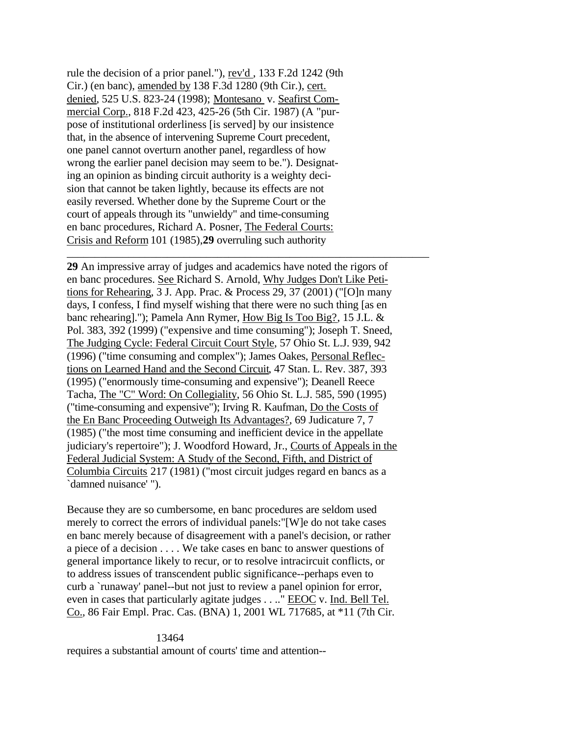rule the decision of a prior panel."), rev'd , 133 F.2d 1242 (9th Cir.) (en banc), amended by 138 F.3d 1280 (9th Cir.), cert. denied, 525 U.S. 823-24 (1998); Montesano v. Seafirst Commercial Corp., 818 F.2d 423, 425-26 (5th Cir. 1987) (A "purpose of institutional orderliness [is served] by our insistence that, in the absence of intervening Supreme Court precedent, one panel cannot overturn another panel, regardless of how wrong the earlier panel decision may seem to be."). Designating an opinion as binding circuit authority is a weighty decision that cannot be taken lightly, because its effects are not easily reversed. Whether done by the Supreme Court or the court of appeals through its "unwieldy" and time-consuming en banc procedures, Richard A. Posner, The Federal Courts: Crisis and Reform 101 (1985),**29** overruling such authority

**29** An impressive array of judges and academics have noted the rigors of en banc procedures. See Richard S. Arnold, Why Judges Don't Like Petitions for Rehearing, 3 J. App. Prac. & Process 29, 37 (2001) ("[O]n many days, I confess, I find myself wishing that there were no such thing [as en banc rehearing]."); Pamela Ann Rymer, How Big Is Too Big?, 15 J.L. & Pol. 383, 392 (1999) ("expensive and time consuming"); Joseph T. Sneed, The Judging Cycle: Federal Circuit Court Style, 57 Ohio St. L.J. 939, 942 (1996) ("time consuming and complex"); James Oakes, Personal Reflections on Learned Hand and the Second Circuit, 47 Stan. L. Rev. 387, 393 (1995) ("enormously time-consuming and expensive"); Deanell Reece Tacha, The "C" Word: On Collegiality, 56 Ohio St. L.J. 585, 590 (1995) ("time-consuming and expensive"); Irving R. Kaufman, Do the Costs of the En Banc Proceeding Outweigh Its Advantages?, 69 Judicature 7, 7 (1985) ("the most time consuming and inefficient device in the appellate judiciary's repertoire"); J. Woodford Howard, Jr., Courts of Appeals in the Federal Judicial System: A Study of the Second, Fifth, and District of Columbia Circuits 217 (1981) ("most circuit judges regard en bancs as a `damned nuisance' ").

\_\_\_\_\_\_\_\_\_\_\_\_\_\_\_\_\_\_\_\_\_\_\_\_\_\_\_\_\_\_\_\_\_\_\_\_\_\_\_\_\_\_\_\_\_\_\_\_\_\_\_\_\_\_\_\_\_\_\_\_\_\_\_\_\_

Because they are so cumbersome, en banc procedures are seldom used merely to correct the errors of individual panels:"[W]e do not take cases en banc merely because of disagreement with a panel's decision, or rather a piece of a decision . . . . We take cases en banc to answer questions of general importance likely to recur, or to resolve intracircuit conflicts, or to address issues of transcendent public significance--perhaps even to curb a `runaway' panel--but not just to review a panel opinion for error, even in cases that particularly agitate judges . . .." EEOC v. Ind. Bell Tel. Co., 86 Fair Empl. Prac. Cas. (BNA) 1, 2001 WL 717685, at \*11 (7th Cir.

## 13464

requires a substantial amount of courts' time and attention--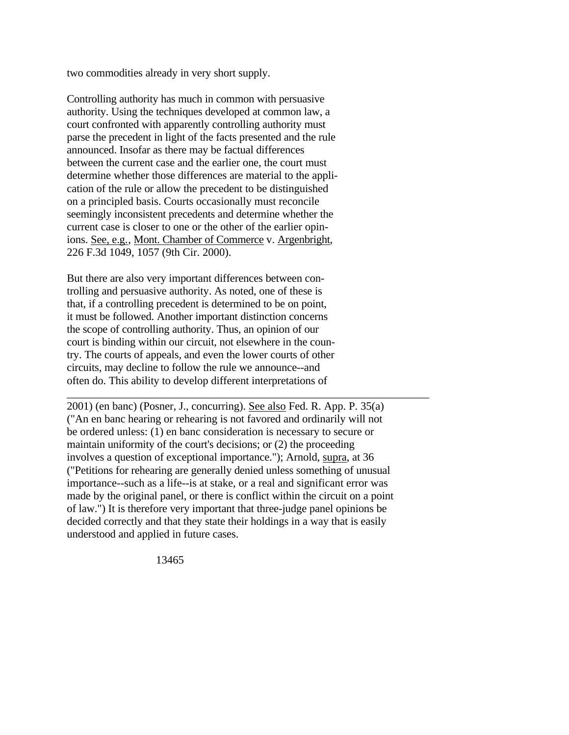two commodities already in very short supply.

Controlling authority has much in common with persuasive authority. Using the techniques developed at common law, a court confronted with apparently controlling authority must parse the precedent in light of the facts presented and the rule announced. Insofar as there may be factual differences between the current case and the earlier one, the court must determine whether those differences are material to the application of the rule or allow the precedent to be distinguished on a principled basis. Courts occasionally must reconcile seemingly inconsistent precedents and determine whether the current case is closer to one or the other of the earlier opinions. See, e.g., Mont. Chamber of Commerce v. Argenbright, 226 F.3d 1049, 1057 (9th Cir. 2000).

But there are also very important differences between controlling and persuasive authority. As noted, one of these is that, if a controlling precedent is determined to be on point, it must be followed. Another important distinction concerns the scope of controlling authority. Thus, an opinion of our court is binding within our circuit, not elsewhere in the country. The courts of appeals, and even the lower courts of other circuits, may decline to follow the rule we announce--and often do. This ability to develop different interpretations of

2001) (en banc) (Posner, J., concurring). See also Fed. R. App. P. 35(a) ("An en banc hearing or rehearing is not favored and ordinarily will not be ordered unless: (1) en banc consideration is necessary to secure or maintain uniformity of the court's decisions; or (2) the proceeding involves a question of exceptional importance."); Arnold, supra, at 36 ("Petitions for rehearing are generally denied unless something of unusual importance--such as a life--is at stake, or a real and significant error was made by the original panel, or there is conflict within the circuit on a point of law.") It is therefore very important that three-judge panel opinions be decided correctly and that they state their holdings in a way that is easily understood and applied in future cases.

\_\_\_\_\_\_\_\_\_\_\_\_\_\_\_\_\_\_\_\_\_\_\_\_\_\_\_\_\_\_\_\_\_\_\_\_\_\_\_\_\_\_\_\_\_\_\_\_\_\_\_\_\_\_\_\_\_\_\_\_\_\_\_\_\_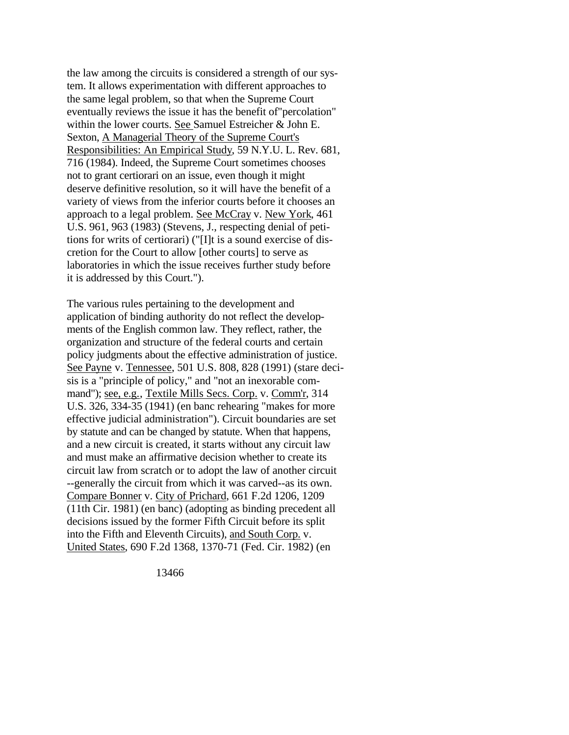the law among the circuits is considered a strength of our system. It allows experimentation with different approaches to the same legal problem, so that when the Supreme Court eventually reviews the issue it has the benefit of"percolation" within the lower courts. See Samuel Estreicher & John E. Sexton, A Managerial Theory of the Supreme Court's Responsibilities: An Empirical Study, 59 N.Y.U. L. Rev. 681, 716 (1984). Indeed, the Supreme Court sometimes chooses not to grant certiorari on an issue, even though it might deserve definitive resolution, so it will have the benefit of a variety of views from the inferior courts before it chooses an approach to a legal problem. See McCray v. New York, 461 U.S. 961, 963 (1983) (Stevens, J., respecting denial of petitions for writs of certiorari) ("[I]t is a sound exercise of discretion for the Court to allow [other courts] to serve as laboratories in which the issue receives further study before it is addressed by this Court.").

The various rules pertaining to the development and application of binding authority do not reflect the developments of the English common law. They reflect, rather, the organization and structure of the federal courts and certain policy judgments about the effective administration of justice. See Payne v. Tennessee, 501 U.S. 808, 828 (1991) (stare decisis is a "principle of policy," and "not an inexorable command"); see, e.g., Textile Mills Secs. Corp. v. Comm'r, 314 U.S. 326, 334-35 (1941) (en banc rehearing "makes for more effective judicial administration"). Circuit boundaries are set by statute and can be changed by statute. When that happens, and a new circuit is created, it starts without any circuit law and must make an affirmative decision whether to create its circuit law from scratch or to adopt the law of another circuit --generally the circuit from which it was carved--as its own. Compare Bonner v. City of Prichard, 661 F.2d 1206, 1209 (11th Cir. 1981) (en banc) (adopting as binding precedent all decisions issued by the former Fifth Circuit before its split into the Fifth and Eleventh Circuits), and South Corp. v. United States, 690 F.2d 1368, 1370-71 (Fed. Cir. 1982) (en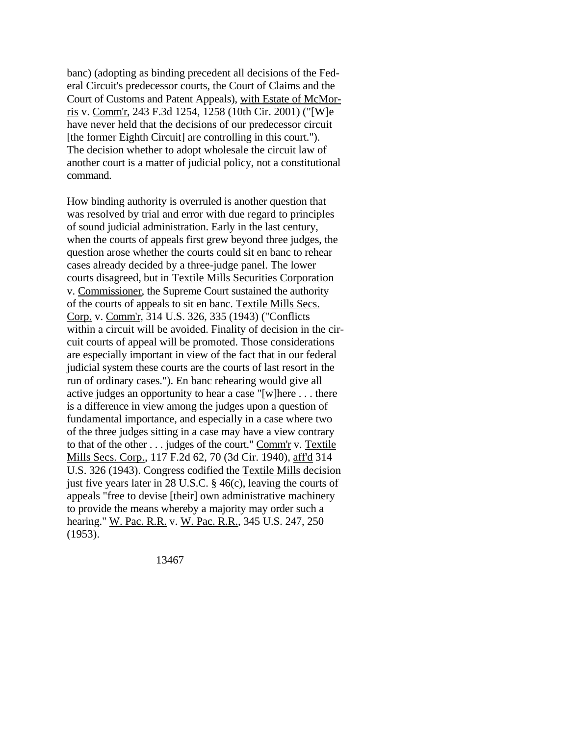banc) (adopting as binding precedent all decisions of the Federal Circuit's predecessor courts, the Court of Claims and the Court of Customs and Patent Appeals), with Estate of McMorris v. Comm'r, 243 F.3d 1254, 1258 (10th Cir. 2001) ("[W]e have never held that the decisions of our predecessor circuit [the former Eighth Circuit] are controlling in this court."). The decision whether to adopt wholesale the circuit law of another court is a matter of judicial policy, not a constitutional command.

How binding authority is overruled is another question that was resolved by trial and error with due regard to principles of sound judicial administration. Early in the last century, when the courts of appeals first grew beyond three judges, the question arose whether the courts could sit en banc to rehear cases already decided by a three-judge panel. The lower courts disagreed, but in Textile Mills Securities Corporation v. Commissioner, the Supreme Court sustained the authority of the courts of appeals to sit en banc. Textile Mills Secs. Corp. v. Comm'r, 314 U.S. 326, 335 (1943) ("Conflicts within a circuit will be avoided. Finality of decision in the circuit courts of appeal will be promoted. Those considerations are especially important in view of the fact that in our federal judicial system these courts are the courts of last resort in the run of ordinary cases."). En banc rehearing would give all active judges an opportunity to hear a case "[w]here . . . there is a difference in view among the judges upon a question of fundamental importance, and especially in a case where two of the three judges sitting in a case may have a view contrary to that of the other . . . judges of the court." Comm'r v. Textile Mills Secs. Corp., 117 F.2d 62, 70 (3d Cir. 1940), aff'd 314 U.S. 326 (1943). Congress codified the Textile Mills decision just five years later in 28 U.S.C. § 46(c), leaving the courts of appeals "free to devise [their] own administrative machinery to provide the means whereby a majority may order such a hearing." W. Pac. R.R. v. W. Pac. R.R., 345 U.S. 247, 250 (1953).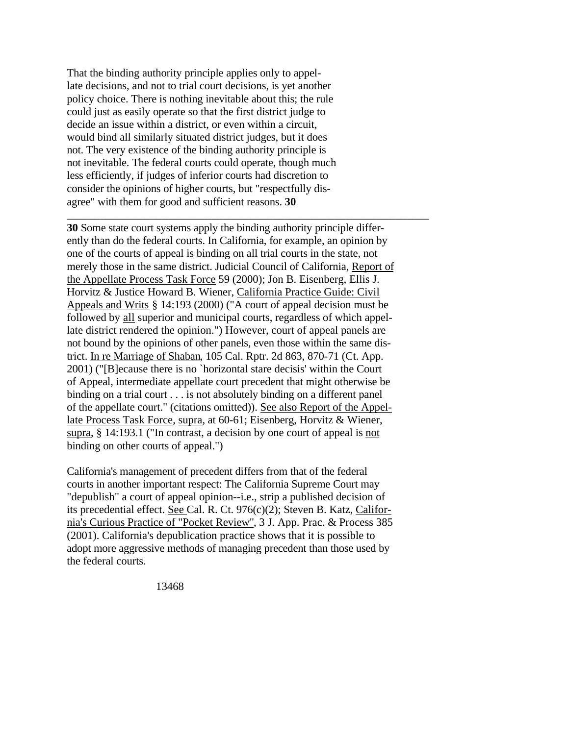That the binding authority principle applies only to appellate decisions, and not to trial court decisions, is yet another policy choice. There is nothing inevitable about this; the rule could just as easily operate so that the first district judge to decide an issue within a district, or even within a circuit, would bind all similarly situated district judges, but it does not. The very existence of the binding authority principle is not inevitable. The federal courts could operate, though much less efficiently, if judges of inferior courts had discretion to consider the opinions of higher courts, but "respectfully disagree" with them for good and sufficient reasons. **30**

**30** Some state court systems apply the binding authority principle differently than do the federal courts. In California, for example, an opinion by one of the courts of appeal is binding on all trial courts in the state, not merely those in the same district. Judicial Council of California, Report of the Appellate Process Task Force 59 (2000); Jon B. Eisenberg, Ellis J. Horvitz & Justice Howard B. Wiener, California Practice Guide: Civil Appeals and Writs § 14:193 (2000) ("A court of appeal decision must be followed by all superior and municipal courts, regardless of which appellate district rendered the opinion.") However, court of appeal panels are not bound by the opinions of other panels, even those within the same district. In re Marriage of Shaban, 105 Cal. Rptr. 2d 863, 870-71 (Ct. App. 2001) ("[B]ecause there is no `horizontal stare decisis' within the Court of Appeal, intermediate appellate court precedent that might otherwise be binding on a trial court . . . is not absolutely binding on a different panel of the appellate court." (citations omitted)). See also Report of the Appellate Process Task Force, supra, at 60-61; Eisenberg, Horvitz & Wiener, supra, § 14:193.1 ("In contrast, a decision by one court of appeal is not binding on other courts of appeal.")

\_\_\_\_\_\_\_\_\_\_\_\_\_\_\_\_\_\_\_\_\_\_\_\_\_\_\_\_\_\_\_\_\_\_\_\_\_\_\_\_\_\_\_\_\_\_\_\_\_\_\_\_\_\_\_\_\_\_\_\_\_\_\_\_\_

California's management of precedent differs from that of the federal courts in another important respect: The California Supreme Court may "depublish" a court of appeal opinion--i.e., strip a published decision of its precedential effect. See Cal. R. Ct. 976(c)(2); Steven B. Katz, California's Curious Practice of "Pocket Review", 3 J. App. Prac. & Process 385 (2001). California's depublication practice shows that it is possible to adopt more aggressive methods of managing precedent than those used by the federal courts.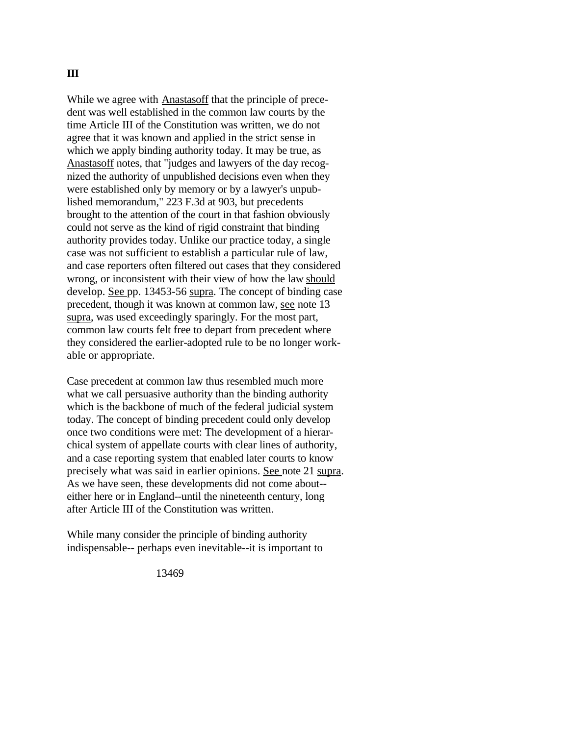## **III**

While we agree with Anastasoff that the principle of precedent was well established in the common law courts by the time Article III of the Constitution was written, we do not agree that it was known and applied in the strict sense in which we apply binding authority today. It may be true, as Anastasoff notes, that "judges and lawyers of the day recognized the authority of unpublished decisions even when they were established only by memory or by a lawyer's unpublished memorandum," 223 F.3d at 903, but precedents brought to the attention of the court in that fashion obviously could not serve as the kind of rigid constraint that binding authority provides today. Unlike our practice today, a single case was not sufficient to establish a particular rule of law, and case reporters often filtered out cases that they considered wrong, or inconsistent with their view of how the law should develop. See pp. 13453-56 supra. The concept of binding case precedent, though it was known at common law, see note 13 supra, was used exceedingly sparingly. For the most part, common law courts felt free to depart from precedent where they considered the earlier-adopted rule to be no longer workable or appropriate.

Case precedent at common law thus resembled much more what we call persuasive authority than the binding authority which is the backbone of much of the federal judicial system today. The concept of binding precedent could only develop once two conditions were met: The development of a hierarchical system of appellate courts with clear lines of authority, and a case reporting system that enabled later courts to know precisely what was said in earlier opinions. See note 21 supra. As we have seen, these developments did not come about- either here or in England--until the nineteenth century, long after Article III of the Constitution was written.

While many consider the principle of binding authority indispensable-- perhaps even inevitable--it is important to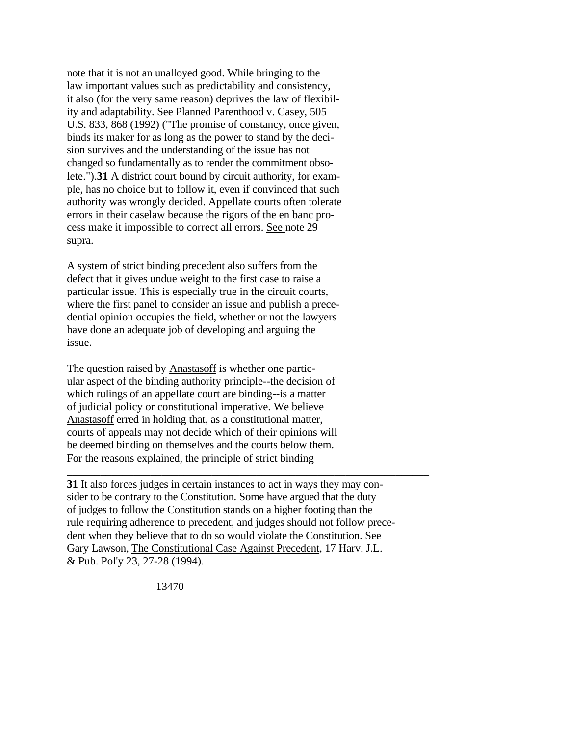note that it is not an unalloyed good. While bringing to the law important values such as predictability and consistency, it also (for the very same reason) deprives the law of flexibility and adaptability. See Planned Parenthood v. Casey, 505 U.S. 833, 868 (1992) ("The promise of constancy, once given, binds its maker for as long as the power to stand by the decision survives and the understanding of the issue has not changed so fundamentally as to render the commitment obsolete.").**31** A district court bound by circuit authority, for example, has no choice but to follow it, even if convinced that such authority was wrongly decided. Appellate courts often tolerate errors in their caselaw because the rigors of the en banc process make it impossible to correct all errors. See note 29 supra.

A system of strict binding precedent also suffers from the defect that it gives undue weight to the first case to raise a particular issue. This is especially true in the circuit courts, where the first panel to consider an issue and publish a precedential opinion occupies the field, whether or not the lawyers have done an adequate job of developing and arguing the issue.

The question raised by Anastasoff is whether one particular aspect of the binding authority principle--the decision of which rulings of an appellate court are binding--is a matter of judicial policy or constitutional imperative. We believe Anastasoff erred in holding that, as a constitutional matter, courts of appeals may not decide which of their opinions will be deemed binding on themselves and the courts below them. For the reasons explained, the principle of strict binding

**31** It also forces judges in certain instances to act in ways they may consider to be contrary to the Constitution. Some have argued that the duty of judges to follow the Constitution stands on a higher footing than the rule requiring adherence to precedent, and judges should not follow precedent when they believe that to do so would violate the Constitution. See Gary Lawson, The Constitutional Case Against Precedent, 17 Harv. J.L. & Pub. Pol'y 23, 27-28 (1994).

\_\_\_\_\_\_\_\_\_\_\_\_\_\_\_\_\_\_\_\_\_\_\_\_\_\_\_\_\_\_\_\_\_\_\_\_\_\_\_\_\_\_\_\_\_\_\_\_\_\_\_\_\_\_\_\_\_\_\_\_\_\_\_\_\_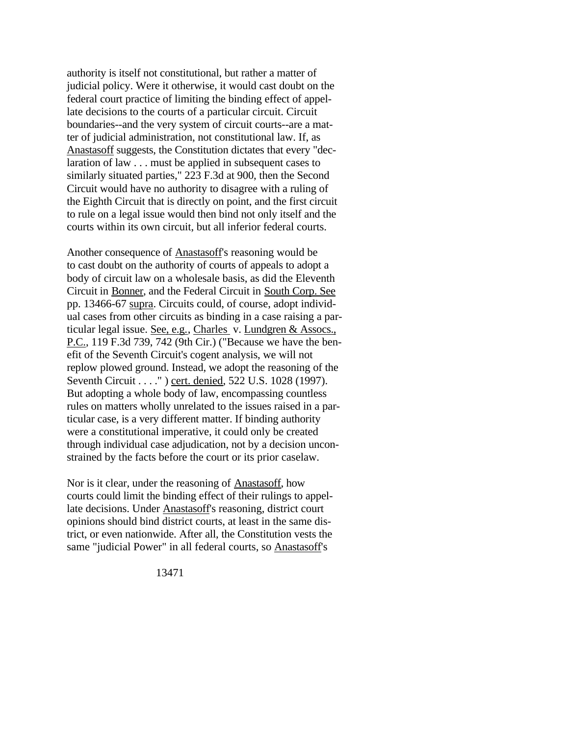authority is itself not constitutional, but rather a matter of judicial policy. Were it otherwise, it would cast doubt on the federal court practice of limiting the binding effect of appellate decisions to the courts of a particular circuit. Circuit boundaries--and the very system of circuit courts--are a matter of judicial administration, not constitutional law. If, as Anastasoff suggests, the Constitution dictates that every "declaration of law . . . must be applied in subsequent cases to similarly situated parties," 223 F.3d at 900, then the Second Circuit would have no authority to disagree with a ruling of the Eighth Circuit that is directly on point, and the first circuit to rule on a legal issue would then bind not only itself and the courts within its own circuit, but all inferior federal courts.

Another consequence of Anastasoff's reasoning would be to cast doubt on the authority of courts of appeals to adopt a body of circuit law on a wholesale basis, as did the Eleventh Circuit in Bonner, and the Federal Circuit in South Corp. See pp. 13466-67 supra. Circuits could, of course, adopt individual cases from other circuits as binding in a case raising a particular legal issue. See, e.g., Charles v. Lundgren & Assocs., P.C., 119 F.3d 739, 742 (9th Cir.) ("Because we have the benefit of the Seventh Circuit's cogent analysis, we will not replow plowed ground. Instead, we adopt the reasoning of the Seventh Circuit . . . . " ) cert. denied, 522 U.S. 1028 (1997). But adopting a whole body of law, encompassing countless rules on matters wholly unrelated to the issues raised in a particular case, is a very different matter. If binding authority were a constitutional imperative, it could only be created through individual case adjudication, not by a decision unconstrained by the facts before the court or its prior caselaw.

Nor is it clear, under the reasoning of Anastasoff, how courts could limit the binding effect of their rulings to appellate decisions. Under Anastasoff's reasoning, district court opinions should bind district courts, at least in the same district, or even nationwide. After all, the Constitution vests the same "judicial Power" in all federal courts, so Anastasoff's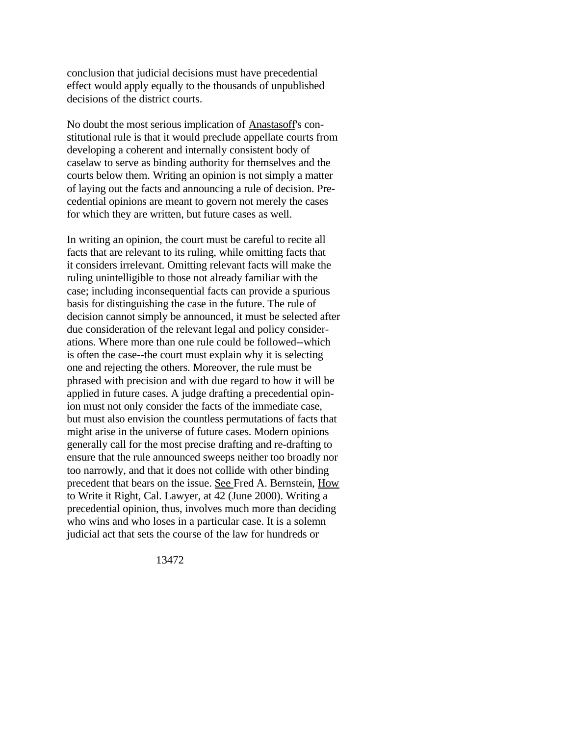conclusion that judicial decisions must have precedential effect would apply equally to the thousands of unpublished decisions of the district courts.

No doubt the most serious implication of Anastasoff's constitutional rule is that it would preclude appellate courts from developing a coherent and internally consistent body of caselaw to serve as binding authority for themselves and the courts below them. Writing an opinion is not simply a matter of laying out the facts and announcing a rule of decision. Precedential opinions are meant to govern not merely the cases for which they are written, but future cases as well.

In writing an opinion, the court must be careful to recite all facts that are relevant to its ruling, while omitting facts that it considers irrelevant. Omitting relevant facts will make the ruling unintelligible to those not already familiar with the case; including inconsequential facts can provide a spurious basis for distinguishing the case in the future. The rule of decision cannot simply be announced, it must be selected after due consideration of the relevant legal and policy considerations. Where more than one rule could be followed--which is often the case--the court must explain why it is selecting one and rejecting the others. Moreover, the rule must be phrased with precision and with due regard to how it will be applied in future cases. A judge drafting a precedential opinion must not only consider the facts of the immediate case, but must also envision the countless permutations of facts that might arise in the universe of future cases. Modern opinions generally call for the most precise drafting and re-drafting to ensure that the rule announced sweeps neither too broadly nor too narrowly, and that it does not collide with other binding precedent that bears on the issue. See Fred A. Bernstein, How to Write it Right, Cal. Lawyer, at 42 (June 2000). Writing a precedential opinion, thus, involves much more than deciding who wins and who loses in a particular case. It is a solemn judicial act that sets the course of the law for hundreds or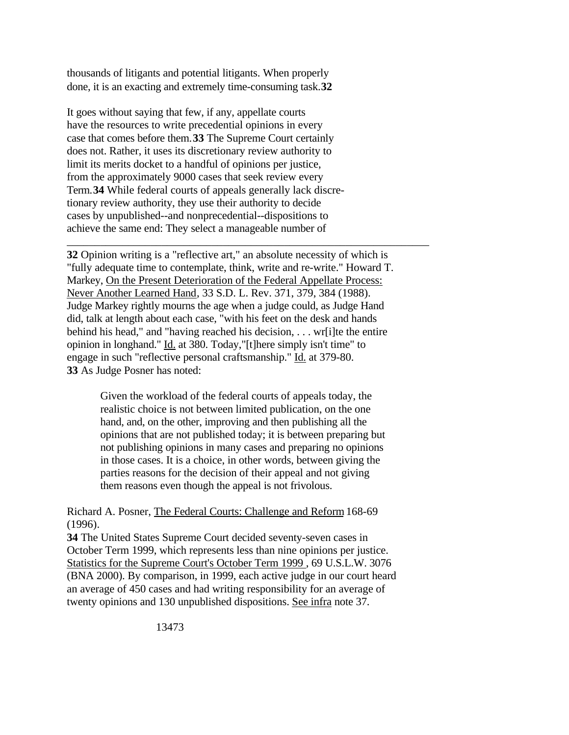thousands of litigants and potential litigants. When properly done, it is an exacting and extremely time-consuming task.**32**

It goes without saying that few, if any, appellate courts have the resources to write precedential opinions in every case that comes before them.**33** The Supreme Court certainly does not. Rather, it uses its discretionary review authority to limit its merits docket to a handful of opinions per justice, from the approximately 9000 cases that seek review every Term.**34** While federal courts of appeals generally lack discretionary review authority, they use their authority to decide cases by unpublished--and nonprecedential--dispositions to achieve the same end: They select a manageable number of

**32** Opinion writing is a "reflective art," an absolute necessity of which is "fully adequate time to contemplate, think, write and re-write." Howard T. Markey, On the Present Deterioration of the Federal Appellate Process: Never Another Learned Hand, 33 S.D. L. Rev. 371, 379, 384 (1988). Judge Markey rightly mourns the age when a judge could, as Judge Hand did, talk at length about each case, "with his feet on the desk and hands behind his head," and "having reached his decision, . . . wr[i]te the entire opinion in longhand." Id. at 380. Today,"[t]here simply isn't time" to engage in such "reflective personal craftsmanship." Id. at 379-80. **33** As Judge Posner has noted:

\_\_\_\_\_\_\_\_\_\_\_\_\_\_\_\_\_\_\_\_\_\_\_\_\_\_\_\_\_\_\_\_\_\_\_\_\_\_\_\_\_\_\_\_\_\_\_\_\_\_\_\_\_\_\_\_\_\_\_\_\_\_\_\_\_

Given the workload of the federal courts of appeals today, the realistic choice is not between limited publication, on the one hand, and, on the other, improving and then publishing all the opinions that are not published today; it is between preparing but not publishing opinions in many cases and preparing no opinions in those cases. It is a choice, in other words, between giving the parties reasons for the decision of their appeal and not giving them reasons even though the appeal is not frivolous.

Richard A. Posner, The Federal Courts: Challenge and Reform 168-69 (1996).

**34** The United States Supreme Court decided seventy-seven cases in October Term 1999, which represents less than nine opinions per justice. Statistics for the Supreme Court's October Term 1999 , 69 U.S.L.W. 3076 (BNA 2000). By comparison, in 1999, each active judge in our court heard an average of 450 cases and had writing responsibility for an average of twenty opinions and 130 unpublished dispositions. See infra note 37.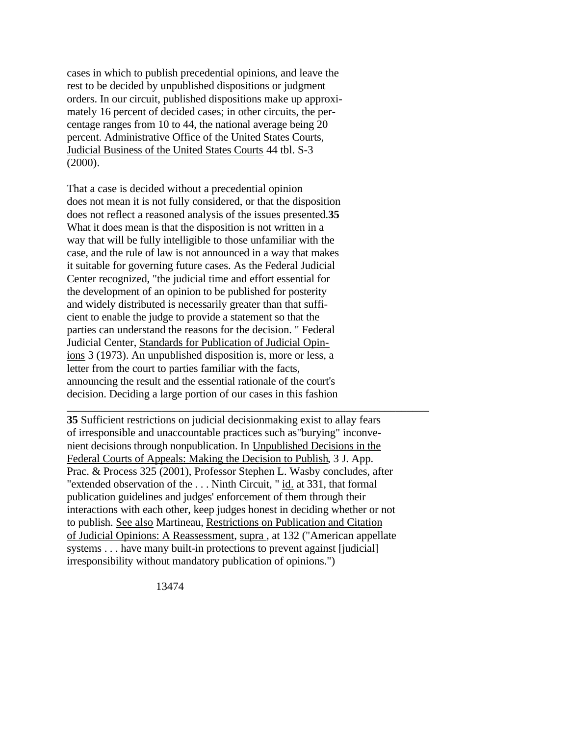cases in which to publish precedential opinions, and leave the rest to be decided by unpublished dispositions or judgment orders. In our circuit, published dispositions make up approximately 16 percent of decided cases; in other circuits, the percentage ranges from 10 to 44, the national average being 20 percent. Administrative Office of the United States Courts, Judicial Business of the United States Courts 44 tbl. S-3 (2000).

That a case is decided without a precedential opinion does not mean it is not fully considered, or that the disposition does not reflect a reasoned analysis of the issues presented.**35** What it does mean is that the disposition is not written in a way that will be fully intelligible to those unfamiliar with the case, and the rule of law is not announced in a way that makes it suitable for governing future cases. As the Federal Judicial Center recognized, "the judicial time and effort essential for the development of an opinion to be published for posterity and widely distributed is necessarily greater than that sufficient to enable the judge to provide a statement so that the parties can understand the reasons for the decision. " Federal Judicial Center, Standards for Publication of Judicial Opinions 3 (1973). An unpublished disposition is, more or less, a letter from the court to parties familiar with the facts, announcing the result and the essential rationale of the court's decision. Deciding a large portion of our cases in this fashion

**35** Sufficient restrictions on judicial decisionmaking exist to allay fears of irresponsible and unaccountable practices such as"burying" inconvenient decisions through nonpublication. In Unpublished Decisions in the Federal Courts of Appeals: Making the Decision to Publish, 3 J. App. Prac. & Process 325 (2001), Professor Stephen L. Wasby concludes, after "extended observation of the ... Ninth Circuit, " id. at 331, that formal publication guidelines and judges' enforcement of them through their interactions with each other, keep judges honest in deciding whether or not to publish. See also Martineau, Restrictions on Publication and Citation of Judicial Opinions: A Reassessment, supra , at 132 ("American appellate systems . . . have many built-in protections to prevent against [judicial] irresponsibility without mandatory publication of opinions.")

\_\_\_\_\_\_\_\_\_\_\_\_\_\_\_\_\_\_\_\_\_\_\_\_\_\_\_\_\_\_\_\_\_\_\_\_\_\_\_\_\_\_\_\_\_\_\_\_\_\_\_\_\_\_\_\_\_\_\_\_\_\_\_\_\_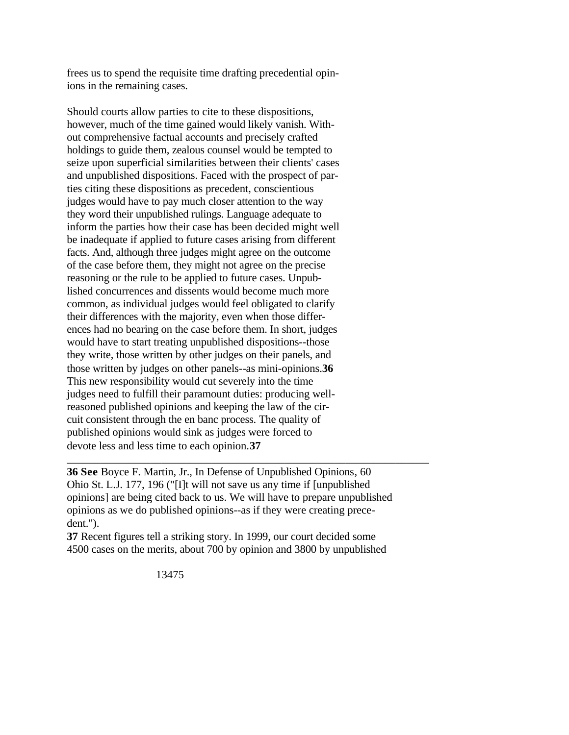frees us to spend the requisite time drafting precedential opinions in the remaining cases.

Should courts allow parties to cite to these dispositions, however, much of the time gained would likely vanish. Without comprehensive factual accounts and precisely crafted holdings to guide them, zealous counsel would be tempted to seize upon superficial similarities between their clients' cases and unpublished dispositions. Faced with the prospect of parties citing these dispositions as precedent, conscientious judges would have to pay much closer attention to the way they word their unpublished rulings. Language adequate to inform the parties how their case has been decided might well be inadequate if applied to future cases arising from different facts. And, although three judges might agree on the outcome of the case before them, they might not agree on the precise reasoning or the rule to be applied to future cases. Unpublished concurrences and dissents would become much more common, as individual judges would feel obligated to clarify their differences with the majority, even when those differences had no bearing on the case before them. In short, judges would have to start treating unpublished dispositions--those they write, those written by other judges on their panels, and those written by judges on other panels--as mini-opinions.**36** This new responsibility would cut severely into the time judges need to fulfill their paramount duties: producing wellreasoned published opinions and keeping the law of the circuit consistent through the en banc process. The quality of published opinions would sink as judges were forced to devote less and less time to each opinion.**37**

**36 See** Boyce F. Martin, Jr., In Defense of Unpublished Opinions, 60 Ohio St. L.J. 177, 196 ("[I]t will not save us any time if [unpublished opinions] are being cited back to us. We will have to prepare unpublished opinions as we do published opinions--as if they were creating precedent.").

\_\_\_\_\_\_\_\_\_\_\_\_\_\_\_\_\_\_\_\_\_\_\_\_\_\_\_\_\_\_\_\_\_\_\_\_\_\_\_\_\_\_\_\_\_\_\_\_\_\_\_\_\_\_\_\_\_\_\_\_\_\_\_\_\_

**37** Recent figures tell a striking story. In 1999, our court decided some 4500 cases on the merits, about 700 by opinion and 3800 by unpublished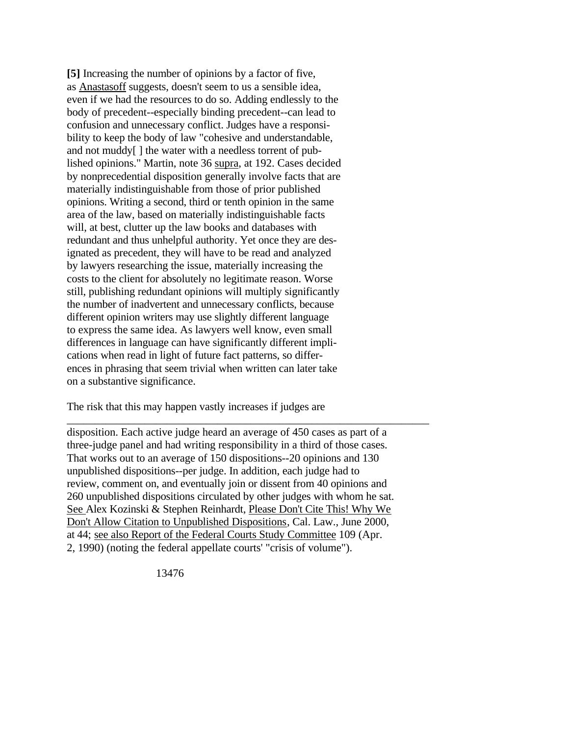**[5]** Increasing the number of opinions by a factor of five, as Anastasoff suggests, doesn't seem to us a sensible idea, even if we had the resources to do so. Adding endlessly to the body of precedent--especially binding precedent--can lead to confusion and unnecessary conflict. Judges have a responsibility to keep the body of law "cohesive and understandable, and not muddy[ ] the water with a needless torrent of published opinions." Martin, note 36 supra, at 192. Cases decided by nonprecedential disposition generally involve facts that are materially indistinguishable from those of prior published opinions. Writing a second, third or tenth opinion in the same area of the law, based on materially indistinguishable facts will, at best, clutter up the law books and databases with redundant and thus unhelpful authority. Yet once they are designated as precedent, they will have to be read and analyzed by lawyers researching the issue, materially increasing the costs to the client for absolutely no legitimate reason. Worse still, publishing redundant opinions will multiply significantly the number of inadvertent and unnecessary conflicts, because different opinion writers may use slightly different language to express the same idea. As lawyers well know, even small differences in language can have significantly different implications when read in light of future fact patterns, so differences in phrasing that seem trivial when written can later take on a substantive significance.

The risk that this may happen vastly increases if judges are

disposition. Each active judge heard an average of 450 cases as part of a three-judge panel and had writing responsibility in a third of those cases. That works out to an average of 150 dispositions--20 opinions and 130 unpublished dispositions--per judge. In addition, each judge had to review, comment on, and eventually join or dissent from 40 opinions and 260 unpublished dispositions circulated by other judges with whom he sat. See Alex Kozinski & Stephen Reinhardt, Please Don't Cite This! Why We Don't Allow Citation to Unpublished Dispositions, Cal. Law., June 2000, at 44; see also Report of the Federal Courts Study Committee 109 (Apr. 2, 1990) (noting the federal appellate courts' "crisis of volume").

\_\_\_\_\_\_\_\_\_\_\_\_\_\_\_\_\_\_\_\_\_\_\_\_\_\_\_\_\_\_\_\_\_\_\_\_\_\_\_\_\_\_\_\_\_\_\_\_\_\_\_\_\_\_\_\_\_\_\_\_\_\_\_\_\_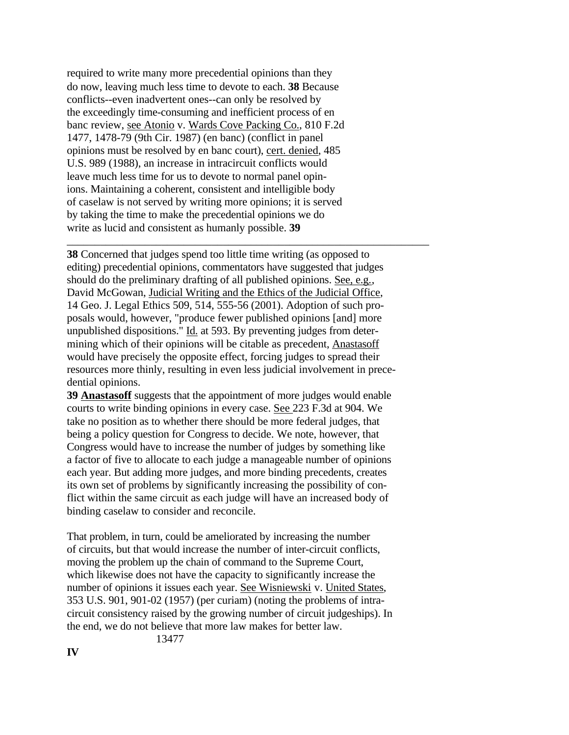required to write many more precedential opinions than they do now, leaving much less time to devote to each. **38** Because conflicts--even inadvertent ones--can only be resolved by the exceedingly time-consuming and inefficient process of en banc review, see Atonio v. Wards Cove Packing Co., 810 F.2d 1477, 1478-79 (9th Cir. 1987) (en banc) (conflict in panel opinions must be resolved by en banc court), cert. denied, 485 U.S. 989 (1988), an increase in intracircuit conflicts would leave much less time for us to devote to normal panel opinions. Maintaining a coherent, consistent and intelligible body of caselaw is not served by writing more opinions; it is served by taking the time to make the precedential opinions we do write as lucid and consistent as humanly possible. **39**

**38** Concerned that judges spend too little time writing (as opposed to editing) precedential opinions, commentators have suggested that judges should do the preliminary drafting of all published opinions. See, e.g., David McGowan, Judicial Writing and the Ethics of the Judicial Office, 14 Geo. J. Legal Ethics 509, 514, 555-56 (2001). Adoption of such proposals would, however, "produce fewer published opinions [and] more unpublished dispositions." Id. at 593. By preventing judges from determining which of their opinions will be citable as precedent, Anastasoff would have precisely the opposite effect, forcing judges to spread their resources more thinly, resulting in even less judicial involvement in precedential opinions.

\_\_\_\_\_\_\_\_\_\_\_\_\_\_\_\_\_\_\_\_\_\_\_\_\_\_\_\_\_\_\_\_\_\_\_\_\_\_\_\_\_\_\_\_\_\_\_\_\_\_\_\_\_\_\_\_\_\_\_\_\_\_\_\_\_

**39 Anastasoff** suggests that the appointment of more judges would enable courts to write binding opinions in every case. See 223 F.3d at 904. We take no position as to whether there should be more federal judges, that being a policy question for Congress to decide. We note, however, that Congress would have to increase the number of judges by something like a factor of five to allocate to each judge a manageable number of opinions each year. But adding more judges, and more binding precedents, creates its own set of problems by significantly increasing the possibility of conflict within the same circuit as each judge will have an increased body of binding caselaw to consider and reconcile.

That problem, in turn, could be ameliorated by increasing the number of circuits, but that would increase the number of inter-circuit conflicts, moving the problem up the chain of command to the Supreme Court, which likewise does not have the capacity to significantly increase the number of opinions it issues each year. See Wisniewski v. United States, 353 U.S. 901, 901-02 (1957) (per curiam) (noting the problems of intracircuit consistency raised by the growing number of circuit judgeships). In the end, we do not believe that more law makes for better law. 13477

**IV**